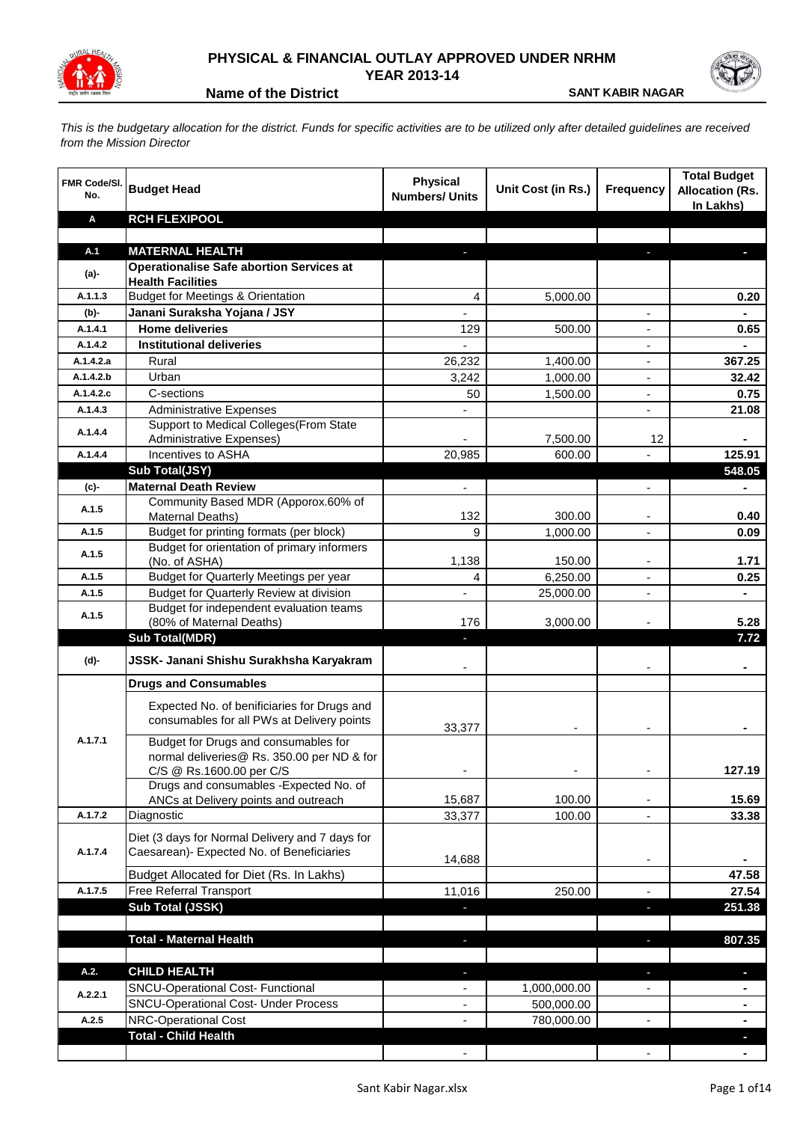

## **PHYSICAL & FINANCIAL OUTLAY APPROVED UNDER NRHM YEAR 2013-14**

**Name of the District <b>SANT KABIR NAGAR** 

*This is the budgetary allocation for the district. Funds for specific activities are to be utilized only after detailed guidelines are received from the Mission Director*

| <b>FMR Code/SI.</b><br>No. | <b>Budget Head</b>                                                                                             | <b>Physical</b><br><b>Numbers/ Units</b> | Unit Cost (in Rs.) | <b>Frequency</b>         | <b>Total Budget</b><br><b>Allocation (Rs.</b><br>In Lakhs) |
|----------------------------|----------------------------------------------------------------------------------------------------------------|------------------------------------------|--------------------|--------------------------|------------------------------------------------------------|
| Α                          | <b>RCH FLEXIPOOL</b>                                                                                           |                                          |                    |                          |                                                            |
|                            |                                                                                                                |                                          |                    |                          |                                                            |
| A.1                        | <b>MATERNAL HEALTH</b>                                                                                         |                                          |                    |                          |                                                            |
| (a)-                       | <b>Operationalise Safe abortion Services at</b><br><b>Health Facilities</b>                                    |                                          |                    |                          |                                                            |
| A.1.1.3                    | <b>Budget for Meetings &amp; Orientation</b>                                                                   | 4                                        | 5,000.00           |                          | 0.20                                                       |
| (b)-                       | Janani Suraksha Yojana / JSY                                                                                   |                                          |                    |                          |                                                            |
| A.1.4.1                    | <b>Home deliveries</b>                                                                                         | 129                                      | 500.00             |                          | 0.65                                                       |
| A.1.4.2                    | <b>Institutional deliveries</b>                                                                                |                                          |                    |                          |                                                            |
| A.1.4.2.a                  | Rural                                                                                                          | 26,232                                   | 1,400.00           | $\overline{a}$           | 367.25                                                     |
| A.1.4.2.b                  | Urban                                                                                                          | 3,242                                    | 1,000.00           | $\overline{\phantom{a}}$ | 32.42                                                      |
| A.1.4.2.c                  | C-sections                                                                                                     | 50                                       | 1,500.00           | $\overline{\phantom{a}}$ | 0.75                                                       |
| A.1.4.3                    | <b>Administrative Expenses</b>                                                                                 |                                          |                    | ٠                        | 21.08                                                      |
| A.1.4.4                    | Support to Medical Colleges (From State                                                                        |                                          |                    |                          |                                                            |
|                            | <b>Administrative Expenses)</b>                                                                                |                                          | 7,500.00           | 12                       |                                                            |
| A.1.4.4                    | Incentives to ASHA                                                                                             | 20,985                                   | 600.00             |                          | 125.91                                                     |
|                            | <b>Sub Total(JSY)</b><br><b>Maternal Death Review</b>                                                          |                                          |                    |                          | 548.05                                                     |
| (c)-                       | Community Based MDR (Apporox.60% of                                                                            | $\blacksquare$                           |                    | $\overline{\phantom{0}}$ |                                                            |
| A.1.5                      | Maternal Deaths)                                                                                               | 132                                      | 300.00             |                          | 0.40                                                       |
| A.1.5                      | Budget for printing formats (per block)                                                                        | 9                                        | 1,000.00           |                          | 0.09                                                       |
| A.1.5                      | Budget for orientation of primary informers                                                                    |                                          |                    |                          |                                                            |
|                            | (No. of ASHA)                                                                                                  | 1,138                                    | 150.00             |                          | 1.71                                                       |
| A.1.5                      | Budget for Quarterly Meetings per year                                                                         | 4                                        | 6,250.00           |                          | 0.25                                                       |
| A.1.5                      | Budget for Quarterly Review at division<br>Budget for independent evaluation teams                             |                                          | 25,000.00          |                          |                                                            |
| A.1.5                      | (80% of Maternal Deaths)                                                                                       | 176                                      | 3,000.00           |                          | 5.28                                                       |
|                            | <b>Sub Total(MDR)</b>                                                                                          | ٠                                        |                    |                          | 7.72                                                       |
| (d)-                       | JSSK- Janani Shishu Surakhsha Karyakram                                                                        |                                          |                    |                          |                                                            |
|                            | <b>Drugs and Consumables</b>                                                                                   |                                          |                    |                          |                                                            |
|                            | Expected No. of benificiaries for Drugs and<br>consumables for all PWs at Delivery points                      | 33,377                                   |                    |                          |                                                            |
| A.1.7.1                    | Budget for Drugs and consumables for<br>normal deliveries@ Rs. 350.00 per ND & for<br>C/S @ Rs.1600.00 per C/S |                                          |                    |                          | 127.19                                                     |
|                            | Drugs and consumables - Expected No. of                                                                        |                                          |                    |                          |                                                            |
|                            | ANCs at Delivery points and outreach                                                                           | 15,687                                   | 100.00             |                          | 15.69                                                      |
| A.1.7.2                    | Diagnostic                                                                                                     | 33,377                                   | 100.00             | L.                       | 33.38                                                      |
|                            | Diet (3 days for Normal Delivery and 7 days for                                                                |                                          |                    |                          |                                                            |
| A.1.7.4                    | Caesarean)- Expected No. of Beneficiaries                                                                      |                                          |                    |                          |                                                            |
|                            |                                                                                                                | 14,688                                   |                    |                          |                                                            |
| A.1.7.5                    | Budget Allocated for Diet (Rs. In Lakhs)<br>Free Referral Transport                                            |                                          |                    |                          | 47.58                                                      |
|                            | Sub Total (JSSK)                                                                                               | 11,016                                   | 250.00             |                          | 27.54<br>251.38                                            |
|                            |                                                                                                                |                                          |                    |                          |                                                            |
|                            | <b>Total - Maternal Health</b>                                                                                 |                                          |                    | п                        | 807.35                                                     |
|                            |                                                                                                                |                                          |                    |                          |                                                            |
| A.2.                       | <b>CHILD HEALTH</b>                                                                                            |                                          |                    | J                        | ٠                                                          |
|                            | SNCU-Operational Cost- Functional                                                                              |                                          | 1,000,000.00       |                          |                                                            |
| A.2.2.1                    | <b>SNCU-Operational Cost- Under Process</b>                                                                    | $\overline{\phantom{a}}$                 | 500,000.00         |                          | $\blacksquare$                                             |
| A.2.5                      | <b>NRC-Operational Cost</b>                                                                                    |                                          | 780,000.00         |                          | $\blacksquare$                                             |
|                            | <b>Total - Child Health</b>                                                                                    |                                          |                    |                          | ٠                                                          |
|                            |                                                                                                                |                                          |                    |                          |                                                            |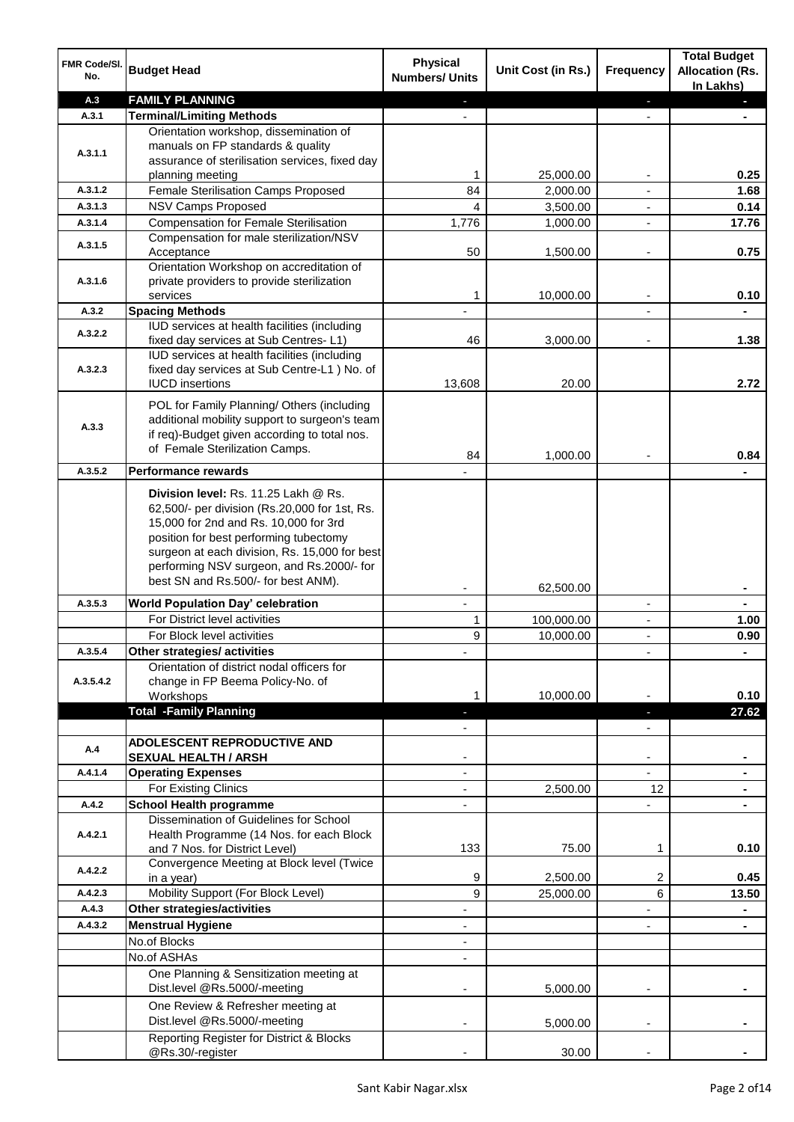| FMR Code/SI.<br>No. | <b>Budget Head</b>                                                                            | <b>Physical</b><br><b>Numbers/ Units</b> | Unit Cost (in Rs.)    | Frequency                | <b>Total Budget</b><br><b>Allocation (Rs.</b><br>In Lakhs) |
|---------------------|-----------------------------------------------------------------------------------------------|------------------------------------------|-----------------------|--------------------------|------------------------------------------------------------|
| A.3                 | <b>FAMILY PLANNING</b>                                                                        |                                          |                       | ٠                        |                                                            |
| A.3.1               | <b>Terminal/Limiting Methods</b>                                                              |                                          |                       |                          |                                                            |
|                     | Orientation workshop, dissemination of                                                        |                                          |                       |                          |                                                            |
| A.3.1.1             | manuals on FP standards & quality                                                             |                                          |                       |                          |                                                            |
|                     | assurance of sterilisation services, fixed day                                                | 1                                        |                       |                          | 0.25                                                       |
| A.3.1.2             | planning meeting<br>Female Sterilisation Camps Proposed                                       | 84                                       | 25,000.00<br>2,000.00 |                          | 1.68                                                       |
| A.3.1.3             | <b>NSV Camps Proposed</b>                                                                     | 4                                        | 3,500.00              | $\blacksquare$           | 0.14                                                       |
| A.3.1.4             | <b>Compensation for Female Sterilisation</b>                                                  | 1,776                                    | 1,000.00              | $\blacksquare$           | 17.76                                                      |
|                     | Compensation for male sterilization/NSV                                                       |                                          |                       |                          |                                                            |
| A.3.1.5             | Acceptance                                                                                    | 50                                       | 1,500.00              | $\overline{a}$           | 0.75                                                       |
|                     | Orientation Workshop on accreditation of                                                      |                                          |                       |                          |                                                            |
| A.3.1.6             | private providers to provide sterilization                                                    |                                          |                       |                          |                                                            |
|                     | services                                                                                      | 1                                        | 10,000.00             | $\blacksquare$           | 0.10                                                       |
| A.3.2               | <b>Spacing Methods</b>                                                                        |                                          |                       |                          |                                                            |
| A.3.2.2             | IUD services at health facilities (including                                                  |                                          |                       |                          |                                                            |
|                     | fixed day services at Sub Centres-L1)                                                         | 46                                       | 3,000.00              |                          | 1.38                                                       |
| A.3.2.3             | IUD services at health facilities (including<br>fixed day services at Sub Centre-L1 ) No. of  |                                          |                       |                          |                                                            |
|                     | <b>IUCD</b> insertions                                                                        | 13,608                                   | 20.00                 |                          | 2.72                                                       |
|                     |                                                                                               |                                          |                       |                          |                                                            |
|                     | POL for Family Planning/ Others (including                                                    |                                          |                       |                          |                                                            |
| A.3.3               | additional mobility support to surgeon's team<br>if req)-Budget given according to total nos. |                                          |                       |                          |                                                            |
|                     | of Female Sterilization Camps.                                                                |                                          |                       |                          |                                                            |
|                     |                                                                                               | 84                                       | 1,000.00              |                          | 0.84                                                       |
| A.3.5.2             | <b>Performance rewards</b>                                                                    |                                          |                       |                          |                                                            |
|                     | Division level: Rs. 11.25 Lakh @ Rs.<br>62,500/- per division (Rs.20,000 for 1st, Rs.         |                                          |                       |                          |                                                            |
|                     | 15,000 for 2nd and Rs. 10,000 for 3rd                                                         |                                          |                       |                          |                                                            |
|                     | position for best performing tubectomy                                                        |                                          |                       |                          |                                                            |
|                     | surgeon at each division, Rs. 15,000 for best<br>performing NSV surgeon, and Rs.2000/- for    |                                          |                       |                          |                                                            |
|                     | best SN and Rs.500/- for best ANM).                                                           |                                          |                       |                          |                                                            |
|                     |                                                                                               |                                          | 62,500.00             |                          |                                                            |
| A.3.5.3             | <b>World Population Day' celebration</b>                                                      | $\mathbf{r}$                             |                       | $\blacksquare$           | $\blacksquare$                                             |
|                     | For District level activities                                                                 | 1                                        | 100,000.00            | $\overline{\phantom{a}}$ | 1.00                                                       |
|                     | For Block level activities                                                                    | 9                                        | 10,000.00             | $\blacksquare$           | 0.90                                                       |
| A.3.5.4             | Other strategies/ activities                                                                  |                                          |                       |                          |                                                            |
| A.3.5.4.2           | Orientation of district nodal officers for<br>change in FP Beema Policy-No. of                |                                          |                       |                          |                                                            |
|                     | Workshops                                                                                     |                                          | 10,000.00             |                          | 0.10                                                       |
|                     | <b>Total -Family Planning</b>                                                                 |                                          |                       |                          | 27.62                                                      |
|                     |                                                                                               |                                          |                       |                          |                                                            |
|                     | <b>ADOLESCENT REPRODUCTIVE AND</b>                                                            |                                          |                       |                          |                                                            |
| A.4                 | <b>SEXUAL HEALTH / ARSH</b>                                                                   |                                          |                       |                          |                                                            |
| A.4.1.4             | <b>Operating Expenses</b>                                                                     |                                          |                       |                          |                                                            |
|                     | For Existing Clinics                                                                          |                                          | 2,500.00              | 12                       |                                                            |
| A.4.2               | <b>School Health programme</b>                                                                |                                          |                       |                          |                                                            |
|                     | Dissemination of Guidelines for School                                                        |                                          |                       |                          |                                                            |
| A.4.2.1             | Health Programme (14 Nos. for each Block                                                      |                                          |                       |                          |                                                            |
|                     | and 7 Nos. for District Level)                                                                | 133                                      | 75.00                 | 1                        | 0.10                                                       |
| A.4.2.2             | Convergence Meeting at Block level (Twice                                                     | 9                                        | 2,500.00              | 2                        | 0.45                                                       |
| A.4.2.3             | in a year)<br>Mobility Support (For Block Level)                                              | 9                                        | 25,000.00             | 6                        | 13.50                                                      |
| A.4.3               | <b>Other strategies/activities</b>                                                            |                                          |                       |                          |                                                            |
| A.4.3.2             | <b>Menstrual Hygiene</b>                                                                      |                                          |                       |                          |                                                            |
|                     | No.of Blocks                                                                                  |                                          |                       |                          |                                                            |
|                     | No.of ASHAs                                                                                   |                                          |                       |                          |                                                            |
|                     | One Planning & Sensitization meeting at                                                       |                                          |                       |                          |                                                            |
|                     | Dist.level @Rs.5000/-meeting                                                                  |                                          | 5,000.00              |                          |                                                            |
|                     | One Review & Refresher meeting at                                                             |                                          |                       |                          |                                                            |
|                     | Dist.level @Rs.5000/-meeting                                                                  |                                          | 5,000.00              |                          |                                                            |
|                     | Reporting Register for District & Blocks                                                      |                                          |                       |                          |                                                            |
|                     | @Rs.30/-register                                                                              |                                          | 30.00                 |                          |                                                            |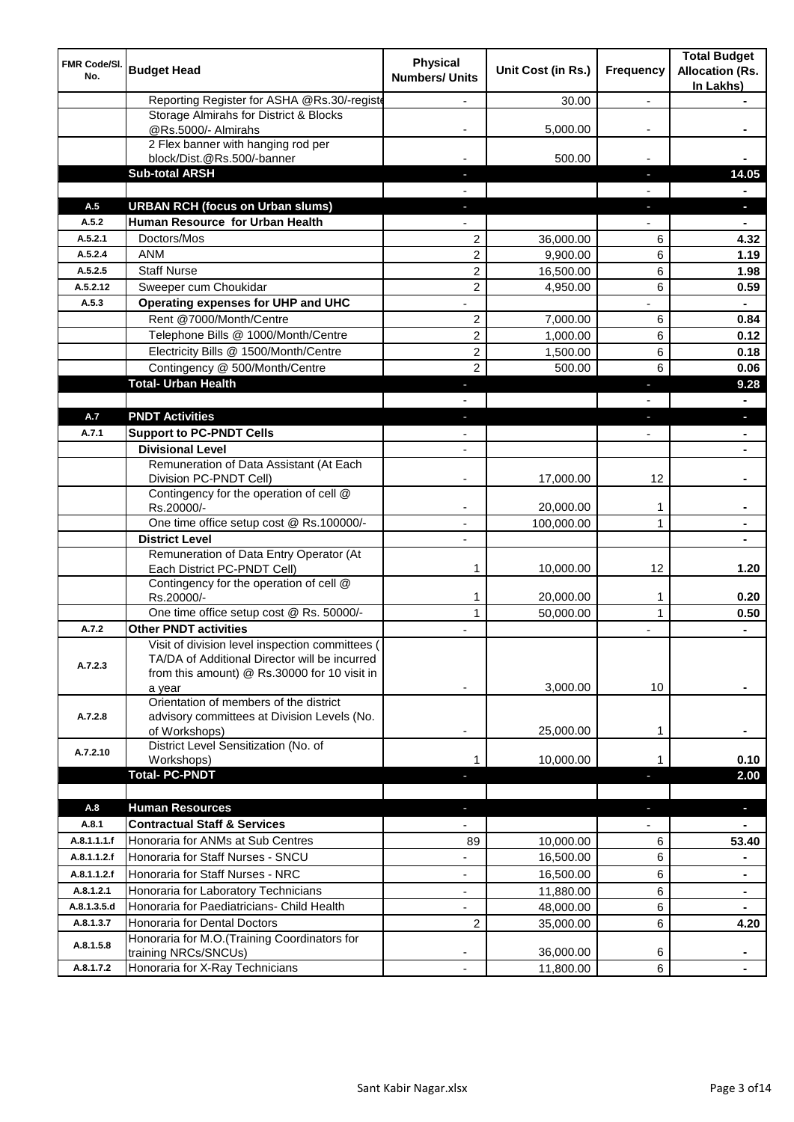| FMR Code/SI.<br>No. | <b>Budget Head</b>                                                                                                                               | <b>Physical</b><br><b>Numbers/ Units</b> | Unit Cost (in Rs.)     | Frequency                | <b>Total Budget</b><br><b>Allocation (Rs.</b><br>In Lakhs) |
|---------------------|--------------------------------------------------------------------------------------------------------------------------------------------------|------------------------------------------|------------------------|--------------------------|------------------------------------------------------------|
|                     | Reporting Register for ASHA @Rs.30/-registe                                                                                                      |                                          | 30.00                  | $\overline{a}$           |                                                            |
|                     | Storage Almirahs for District & Blocks<br>@Rs.5000/- Almirahs                                                                                    |                                          | 5,000.00               |                          |                                                            |
|                     | 2 Flex banner with hanging rod per                                                                                                               |                                          |                        |                          |                                                            |
|                     | block/Dist.@Rs.500/-banner                                                                                                                       |                                          | 500.00                 |                          |                                                            |
|                     | <b>Sub-total ARSH</b>                                                                                                                            |                                          |                        | H,                       | 14.05                                                      |
|                     |                                                                                                                                                  |                                          |                        |                          |                                                            |
| A.5                 | <b>URBAN RCH (focus on Urban slums)</b>                                                                                                          |                                          |                        | r.                       |                                                            |
| A.5.2<br>A.5.2.1    | Human Resource for Urban Health<br>Doctors/Mos                                                                                                   |                                          |                        |                          |                                                            |
| A.5.2.4             | <b>ANM</b>                                                                                                                                       | 2<br>$\overline{c}$                      | 36,000.00<br>9,900.00  | 6<br>6                   | 4.32<br>1.19                                               |
| A.5.2.5             | <b>Staff Nurse</b>                                                                                                                               | $\overline{2}$                           | 16,500.00              | 6                        | 1.98                                                       |
| A.5.2.12            | Sweeper cum Choukidar                                                                                                                            | 2                                        | 4,950.00               | 6                        | 0.59                                                       |
| A.5.3               | Operating expenses for UHP and UHC                                                                                                               |                                          |                        |                          |                                                            |
|                     | Rent @7000/Month/Centre                                                                                                                          | 2                                        | 7,000.00               | 6                        | 0.84                                                       |
|                     | Telephone Bills @ 1000/Month/Centre                                                                                                              | $\overline{c}$                           | 1,000.00               | 6                        | 0.12                                                       |
|                     | Electricity Bills @ 1500/Month/Centre                                                                                                            | 2                                        | 1,500.00               | 6                        | 0.18                                                       |
|                     | Contingency @ 500/Month/Centre                                                                                                                   | $\overline{2}$                           | 500.00                 | 6                        | 0.06                                                       |
|                     | <b>Total- Urban Health</b>                                                                                                                       | J                                        |                        | J,                       | 9.28                                                       |
|                     |                                                                                                                                                  |                                          |                        |                          |                                                            |
| A.7                 | <b>PNDT Activities</b>                                                                                                                           | ٠                                        |                        | J,                       | $\blacksquare$                                             |
| A.7.1               | <b>Support to PC-PNDT Cells</b>                                                                                                                  |                                          |                        | ٠                        | $\blacksquare$                                             |
|                     | <b>Divisional Level</b>                                                                                                                          | ٠                                        |                        |                          | $\blacksquare$                                             |
|                     | Remuneration of Data Assistant (At Each                                                                                                          |                                          |                        |                          |                                                            |
|                     | Division PC-PNDT Cell)                                                                                                                           |                                          | 17,000.00              | 12                       |                                                            |
|                     | Contingency for the operation of cell @<br>Rs.20000/-                                                                                            |                                          | 20,000.00              | 1                        |                                                            |
|                     | One time office setup cost @ Rs.100000/-                                                                                                         |                                          | 100,000.00             | 1                        |                                                            |
|                     | <b>District Level</b>                                                                                                                            |                                          |                        |                          |                                                            |
|                     | Remuneration of Data Entry Operator (At<br>Each District PC-PNDT Cell)                                                                           | 1                                        | 10,000.00              | 12                       | 1.20                                                       |
|                     | Contingency for the operation of cell @                                                                                                          |                                          |                        |                          |                                                            |
|                     | Rs.20000/-<br>One time office setup cost @ Rs. 50000/-                                                                                           | $\mathbf{1}$                             | 20,000.00<br>50,000.00 | 1<br>$\mathbf{1}$        | 0.20                                                       |
| A.7.2               | <b>Other PNDT activities</b>                                                                                                                     | $\mathbf{1}$                             |                        | ٠                        | 0.50                                                       |
| A.7.2.3             | Visit of division level inspection committees (<br>TA/DA of Additional Director will be incurred<br>from this amount) @ Rs.30000 for 10 visit in |                                          |                        |                          | $\blacksquare$                                             |
| A.7.2.8             | a year<br>Orientation of members of the district<br>advisory committees at Division Levels (No.                                                  |                                          | 3,000.00               | 10                       |                                                            |
|                     | of Workshops)<br>District Level Sensitization (No. of                                                                                            |                                          | 25,000.00              | 1                        |                                                            |
| A.7.2.10            | Workshops)                                                                                                                                       | 1                                        | 10,000.00              | 1                        | 0.10                                                       |
|                     | <b>Total-PC-PNDT</b>                                                                                                                             |                                          |                        | ٠                        | 2.00                                                       |
|                     |                                                                                                                                                  |                                          |                        |                          |                                                            |
| A.8                 | <b>Human Resources</b>                                                                                                                           | ٠                                        |                        | ٠                        | $\blacksquare$                                             |
| A.8.1               | <b>Contractual Staff &amp; Services</b>                                                                                                          |                                          |                        | $\overline{\phantom{0}}$ | $\blacksquare$                                             |
| A.8.1.1.1.f         | Honoraria for ANMs at Sub Centres                                                                                                                | 89                                       | 10,000.00              | 6                        | 53.40                                                      |
| A.8.1.1.2.f         | Honoraria for Staff Nurses - SNCU                                                                                                                | $\overline{\phantom{0}}$                 | 16,500.00              | 6                        |                                                            |
| A.8.1.1.2.f         | Honoraria for Staff Nurses - NRC                                                                                                                 | $\overline{\phantom{0}}$                 | 16,500.00              | 6                        | $\blacksquare$                                             |
| A.8.1.2.1           | Honoraria for Laboratory Technicians                                                                                                             | ÷,                                       | 11,880.00              | 6                        |                                                            |
| A.8.1.3.5.d         | Honoraria for Paediatricians- Child Health                                                                                                       |                                          | 48,000.00              | 6                        |                                                            |
| A.8.1.3.7           | Honoraria for Dental Doctors                                                                                                                     | 2                                        | 35,000.00              | 6                        | 4.20                                                       |
| A.8.1.5.8           | Honoraria for M.O.(Training Coordinators for                                                                                                     |                                          |                        |                          |                                                            |
| A.8.1.7.2           | training NRCs/SNCUs)<br>Honoraria for X-Ray Technicians                                                                                          | $\overline{\phantom{a}}$                 | 36,000.00<br>11,800.00 | 6<br>6                   |                                                            |
|                     |                                                                                                                                                  |                                          |                        |                          |                                                            |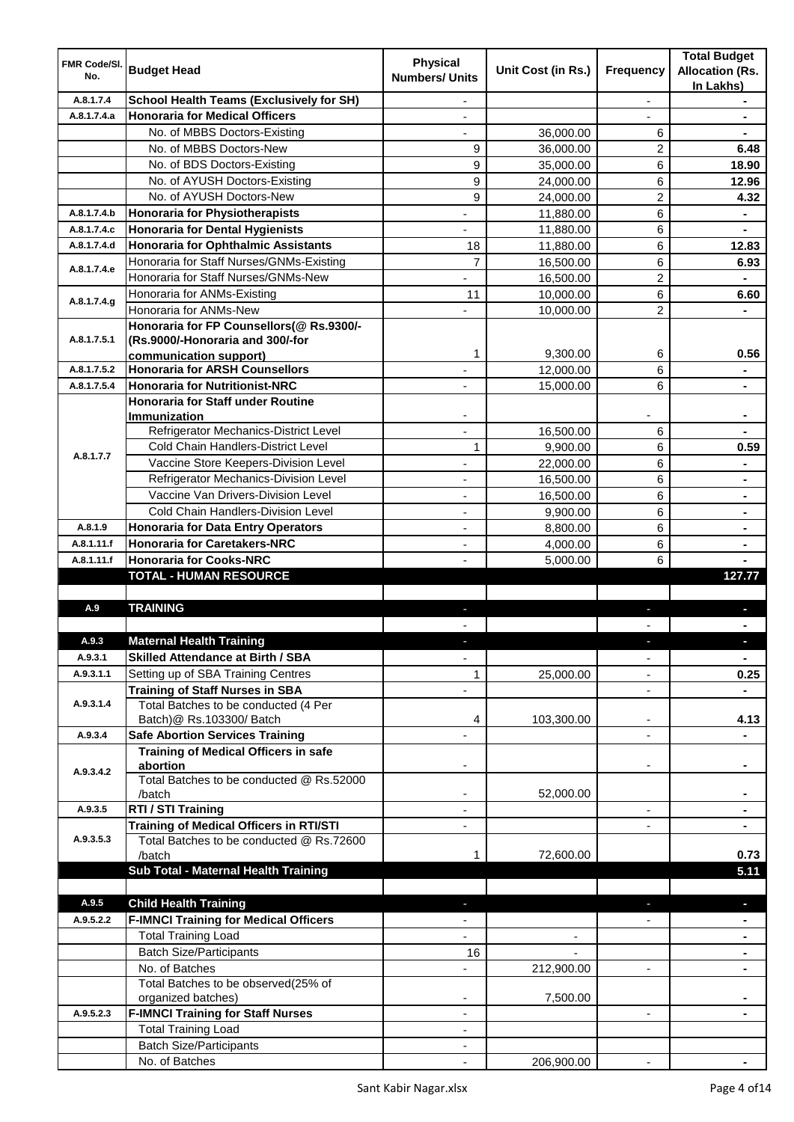| <b>FMR Code/SI.</b><br>No. | <b>Budget Head</b>                                      | <b>Physical</b><br><b>Numbers/ Units</b> | Unit Cost (in Rs.)       | Frequency                | <b>Total Budget</b><br><b>Allocation (Rs.</b><br>In Lakhs) |
|----------------------------|---------------------------------------------------------|------------------------------------------|--------------------------|--------------------------|------------------------------------------------------------|
| A.8.1.7.4                  | <b>School Health Teams (Exclusively for SH)</b>         |                                          |                          | $\overline{a}$           |                                                            |
| A.8.1.7.4.a                | <b>Honoraria for Medical Officers</b>                   |                                          |                          |                          |                                                            |
|                            | No. of MBBS Doctors-Existing                            |                                          | 36,000.00                | 6                        |                                                            |
|                            | No. of MBBS Doctors-New                                 | 9                                        | 36,000.00                | 2                        | 6.48                                                       |
|                            | No. of BDS Doctors-Existing                             | 9                                        | 35,000.00                | 6                        | 18.90                                                      |
|                            | No. of AYUSH Doctors-Existing                           | 9                                        | 24,000.00                | 6                        | 12.96                                                      |
|                            | No. of AYUSH Doctors-New                                | 9                                        | 24,000.00                | 2                        | 4.32                                                       |
| A.8.1.7.4.b                | <b>Honoraria for Physiotherapists</b>                   |                                          | 11,880.00                | 6                        |                                                            |
| A.8.1.7.4.c                | <b>Honoraria for Dental Hygienists</b>                  |                                          | 11,880.00                | 6                        |                                                            |
| A.8.1.7.4.d                | <b>Honoraria for Ophthalmic Assistants</b>              | 18                                       | 11,880.00                | 6                        | 12.83                                                      |
|                            | Honoraria for Staff Nurses/GNMs-Existing                | $\overline{7}$                           | 16,500.00                | 6                        | 6.93                                                       |
| A.8.1.7.4.e                | Honoraria for Staff Nurses/GNMs-New                     |                                          | 16,500.00                | $\overline{2}$           |                                                            |
|                            | Honoraria for ANMs-Existing                             | 11                                       | 10,000.00                | 6                        | 6.60                                                       |
| A.8.1.7.4.g                | Honoraria for ANMs-New                                  |                                          | 10,000.00                | $\overline{2}$           |                                                            |
|                            | Honoraria for FP Counsellors(@ Rs.9300/-                |                                          |                          |                          |                                                            |
| A.8.1.7.5.1                | (Rs.9000/-Honoraria and 300/-for                        |                                          |                          |                          |                                                            |
|                            | communication support)                                  | 1                                        | 9,300.00                 | 6                        | 0.56                                                       |
| A.8.1.7.5.2                | <b>Honoraria for ARSH Counsellors</b>                   |                                          | 12,000.00                | 6                        | $\blacksquare$                                             |
| A.8.1.7.5.4                | <b>Honoraria for Nutritionist-NRC</b>                   | $\blacksquare$                           | 15,000.00                | 6                        | $\blacksquare$                                             |
|                            | <b>Honoraria for Staff under Routine</b>                |                                          |                          |                          |                                                            |
|                            | <b>Immunization</b>                                     |                                          |                          |                          |                                                            |
|                            | Refrigerator Mechanics-District Level                   |                                          | 16,500.00                | 6                        |                                                            |
| A.8.1.7.7                  | Cold Chain Handlers-District Level                      | 1                                        | 9,900.00                 | 6                        | 0.59                                                       |
|                            | Vaccine Store Keepers-Division Level                    |                                          | 22,000.00                | 6                        |                                                            |
|                            | Refrigerator Mechanics-Division Level                   |                                          | 16,500.00                | 6                        | $\blacksquare$                                             |
|                            | Vaccine Van Drivers-Division Level                      |                                          | 16,500.00                | 6                        | $\blacksquare$                                             |
|                            | Cold Chain Handlers-Division Level                      | ä,                                       | 9,900.00                 | 6                        | $\blacksquare$                                             |
| A.8.1.9                    | <b>Honoraria for Data Entry Operators</b>               | ÷,                                       | 8,800.00                 | 6                        |                                                            |
| A.8.1.11.f                 | <b>Honoraria for Caretakers-NRC</b>                     | $\overline{\phantom{0}}$                 | 4,000.00                 | 6                        |                                                            |
| A.8.1.11.f                 | <b>Honoraria for Cooks-NRC</b>                          |                                          | 5,000.00                 | 6                        |                                                            |
|                            | <b>TOTAL - HUMAN RESOURCE</b>                           |                                          |                          |                          | 127.77                                                     |
|                            |                                                         |                                          |                          |                          |                                                            |
| A.9                        | <b>TRAINING</b>                                         | ٠                                        |                          | ٠                        |                                                            |
|                            |                                                         |                                          |                          |                          |                                                            |
| A.9.3                      | <b>Maternal Health Training</b>                         |                                          |                          |                          |                                                            |
| A.9.3.1                    | <b>Skilled Attendance at Birth / SBA</b>                | ÷,                                       |                          | $\overline{\phantom{a}}$ | $\blacksquare$                                             |
| A.9.3.1.1                  | Setting up of SBA Training Centres                      | 1                                        | 25,000.00                | $\overline{\phantom{0}}$ | 0.25                                                       |
|                            | <b>Training of Staff Nurses in SBA</b>                  | $\overline{\phantom{0}}$                 |                          | $\overline{\phantom{a}}$ |                                                            |
| A.9.3.1.4                  | Total Batches to be conducted (4 Per                    |                                          |                          |                          |                                                            |
|                            | Batch)@ Rs.103300/ Batch                                | 4                                        | 103,300.00               | ٠                        | 4.13                                                       |
| A.9.3.4                    | <b>Safe Abortion Services Training</b>                  |                                          |                          |                          |                                                            |
|                            | <b>Training of Medical Officers in safe</b><br>abortion |                                          |                          | -                        |                                                            |
| A.9.3.4.2                  | Total Batches to be conducted @ Rs.52000                |                                          |                          |                          |                                                            |
|                            | /batch                                                  | $\overline{\phantom{a}}$                 | 52,000.00                |                          | $\blacksquare$                                             |
| A.9.3.5                    | RTI / STI Training                                      | $\blacksquare$                           |                          | ÷,                       | $\blacksquare$                                             |
|                            | <b>Training of Medical Officers in RTI/STI</b>          | $\overline{\phantom{a}}$                 |                          | L.                       | $\blacksquare$                                             |
| A.9.3.5.3                  | Total Batches to be conducted @ Rs.72600                |                                          |                          |                          |                                                            |
|                            | /batch                                                  | 1                                        | 72,600.00                |                          | 0.73                                                       |
|                            | Sub Total - Maternal Health Training                    |                                          |                          |                          | 5.11                                                       |
|                            |                                                         |                                          |                          |                          |                                                            |
| A.9.5                      | <b>Child Health Training</b>                            |                                          |                          |                          | ٠                                                          |
| A.9.5.2.2                  | <b>F-IMNCI Training for Medical Officers</b>            |                                          |                          |                          |                                                            |
|                            | <b>Total Training Load</b>                              |                                          | $\overline{\phantom{a}}$ |                          | $\blacksquare$                                             |
|                            | <b>Batch Size/Participants</b>                          | 16                                       |                          |                          | ٠                                                          |
|                            | No. of Batches                                          | $\overline{\phantom{0}}$                 | 212,900.00               | ۰                        | ٠                                                          |
|                            | Total Batches to be observed(25% of                     |                                          |                          |                          |                                                            |
|                            | organized batches)                                      |                                          | 7,500.00                 |                          |                                                            |
| A.9.5.2.3                  | <b>F-IMNCI Training for Staff Nurses</b>                | ٠                                        |                          | $\blacksquare$           |                                                            |
|                            | <b>Total Training Load</b>                              | ٠                                        |                          |                          |                                                            |
|                            | <b>Batch Size/Participants</b>                          |                                          |                          |                          |                                                            |
|                            |                                                         |                                          | 206,900.00               |                          |                                                            |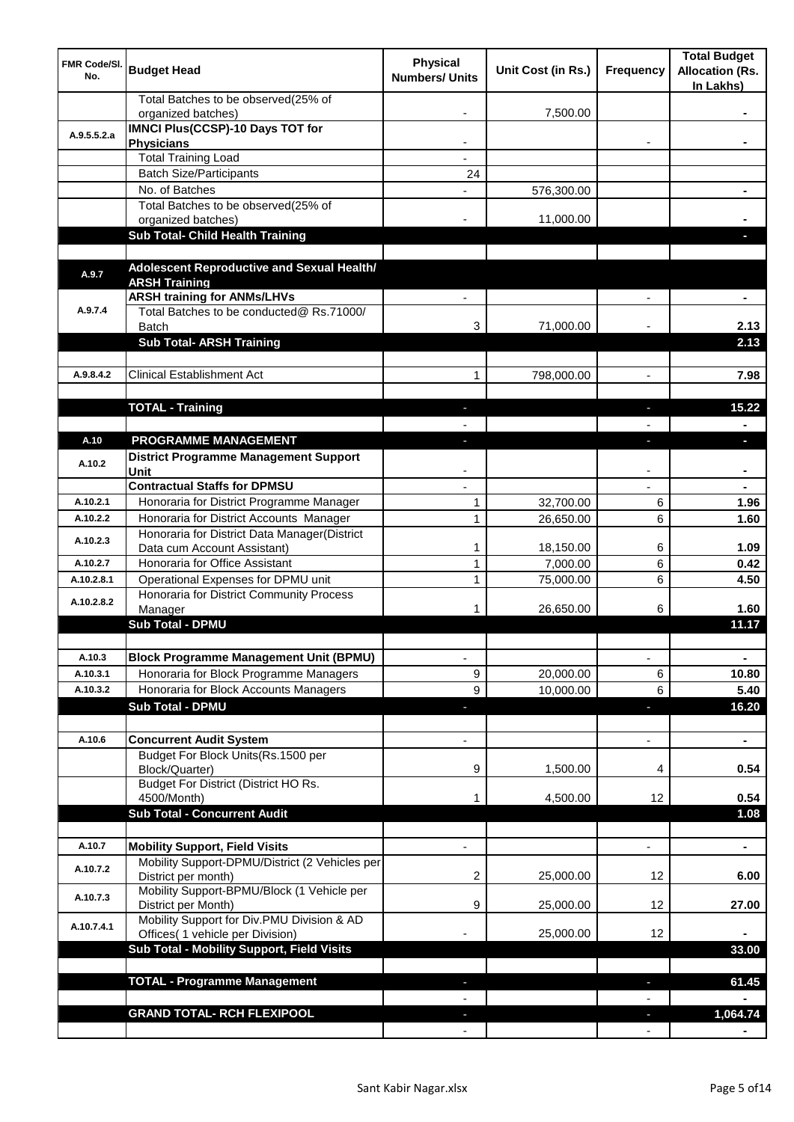| <b>FMR Code/SI.</b><br>No. | <b>Budget Head</b>                                                             | <b>Physical</b><br><b>Numbers/ Units</b> | Unit Cost (in Rs.)    | Frequency                | <b>Total Budget</b><br><b>Allocation (Rs.</b><br>In Lakhs) |
|----------------------------|--------------------------------------------------------------------------------|------------------------------------------|-----------------------|--------------------------|------------------------------------------------------------|
|                            | Total Batches to be observed(25% of<br>organized batches)                      |                                          | 7,500.00              |                          |                                                            |
| A.9.5.5.2.a                | <b>IMNCI Plus(CCSP)-10 Days TOT for</b>                                        |                                          |                       |                          |                                                            |
|                            | <b>Physicians</b>                                                              |                                          |                       |                          |                                                            |
|                            | <b>Total Training Load</b>                                                     |                                          |                       |                          |                                                            |
|                            | <b>Batch Size/Participants</b><br>No. of Batches                               | 24                                       |                       |                          |                                                            |
|                            | Total Batches to be observed(25% of                                            |                                          | 576,300.00            |                          |                                                            |
|                            | organized batches)                                                             |                                          | 11,000.00             |                          |                                                            |
|                            | Sub Total- Child Health Training                                               |                                          |                       |                          |                                                            |
|                            |                                                                                |                                          |                       |                          |                                                            |
| A.9.7                      | Adolescent Reproductive and Sexual Health/                                     |                                          |                       |                          |                                                            |
|                            | <b>ARSH Training</b>                                                           |                                          |                       |                          |                                                            |
|                            | <b>ARSH training for ANMs/LHVs</b>                                             |                                          |                       |                          |                                                            |
| A.9.7.4                    | Total Batches to be conducted@ Rs.71000/                                       |                                          |                       |                          |                                                            |
|                            | <b>Batch</b><br><b>Sub Total- ARSH Training</b>                                | 3                                        | 71,000.00             |                          | 2.13<br>2.13                                               |
|                            |                                                                                |                                          |                       |                          |                                                            |
| A.9.8.4.2                  | <b>Clinical Establishment Act</b>                                              | 1                                        | 798,000.00            | $\overline{a}$           | 7.98                                                       |
|                            |                                                                                |                                          |                       |                          |                                                            |
|                            | <b>TOTAL - Training</b>                                                        |                                          |                       |                          | 15.22                                                      |
|                            |                                                                                |                                          |                       |                          |                                                            |
| A.10                       | PROGRAMME MANAGEMENT                                                           |                                          |                       |                          | a.                                                         |
|                            | <b>District Programme Management Support</b>                                   |                                          |                       |                          |                                                            |
| A.10.2                     | Unit                                                                           |                                          |                       |                          |                                                            |
|                            | <b>Contractual Staffs for DPMSU</b>                                            |                                          |                       |                          |                                                            |
| A.10.2.1                   | Honoraria for District Programme Manager                                       | 1                                        | 32,700.00             | 6                        | 1.96                                                       |
| A.10.2.2                   | Honoraria for District Accounts Manager                                        | $\mathbf{1}$                             | 26,650.00             | 6                        | 1.60                                                       |
| A.10.2.3                   | Honoraria for District Data Manager(District                                   |                                          |                       |                          |                                                            |
| A.10.2.7                   | Data cum Account Assistant)<br>Honoraria for Office Assistant                  | 1<br>1                                   | 18,150.00<br>7,000.00 | 6<br>6                   | 1.09<br>0.42                                               |
| A.10.2.8.1                 | Operational Expenses for DPMU unit                                             | 1                                        | 75,000.00             | 6                        | 4.50                                                       |
|                            | Honoraria for District Community Process                                       |                                          |                       |                          |                                                            |
| A.10.2.8.2                 | Manager                                                                        | 1                                        | 26,650.00             | 6                        | 1.60                                                       |
|                            | <b>Sub Total - DPMU</b>                                                        |                                          |                       |                          | 11.17                                                      |
|                            |                                                                                |                                          |                       |                          |                                                            |
| A.10.3                     | <b>Block Programme Management Unit (BPMU)</b>                                  | $\overline{\phantom{a}}$                 |                       | $\overline{\phantom{a}}$ | $\blacksquare$                                             |
| A.10.3.1                   | Honoraria for Block Programme Managers                                         | 9                                        | 20,000.00             | 6                        | 10.80                                                      |
| A.10.3.2                   | Honoraria for Block Accounts Managers                                          | 9                                        | 10,000.00             | 6                        | 5.40                                                       |
|                            | <b>Sub Total - DPMU</b>                                                        | P.                                       |                       | J,                       | 16.20                                                      |
|                            |                                                                                |                                          |                       |                          |                                                            |
| A.10.6                     | <b>Concurrent Audit System</b>                                                 |                                          |                       | $\overline{\phantom{0}}$ | $\blacksquare$                                             |
|                            | Budget For Block Units(Rs.1500 per<br>Block/Quarter)                           | 9                                        | 1,500.00              | 4                        | 0.54                                                       |
|                            | Budget For District (District HO Rs.                                           |                                          |                       |                          |                                                            |
|                            | 4500/Month)                                                                    | 1                                        | 4,500.00              | 12                       | 0.54                                                       |
|                            | <b>Sub Total - Concurrent Audit</b>                                            |                                          |                       |                          | 1.08                                                       |
|                            |                                                                                |                                          |                       |                          |                                                            |
| A.10.7                     | <b>Mobility Support, Field Visits</b>                                          |                                          |                       | $\overline{a}$           | ä,                                                         |
| A.10.7.2                   | Mobility Support-DPMU/District (2 Vehicles per<br>District per month)          | 2                                        | 25,000.00             | 12                       | 6.00                                                       |
| A.10.7.3                   | Mobility Support-BPMU/Block (1 Vehicle per<br>District per Month)              | 9                                        | 25,000.00             | 12                       | 27.00                                                      |
| A.10.7.4.1                 | Mobility Support for Div.PMU Division & AD<br>Offices( 1 vehicle per Division) |                                          | 25,000.00             | 12                       |                                                            |
|                            | Sub Total - Mobility Support, Field Visits                                     |                                          |                       |                          | 33.00                                                      |
|                            |                                                                                |                                          |                       |                          |                                                            |
|                            | <b>TOTAL - Programme Management</b>                                            |                                          |                       |                          | 61.45                                                      |
|                            |                                                                                |                                          |                       |                          |                                                            |
|                            | <b>GRAND TOTAL- RCH FLEXIPOOL</b>                                              |                                          |                       |                          | 1,064.74                                                   |
|                            |                                                                                |                                          |                       |                          |                                                            |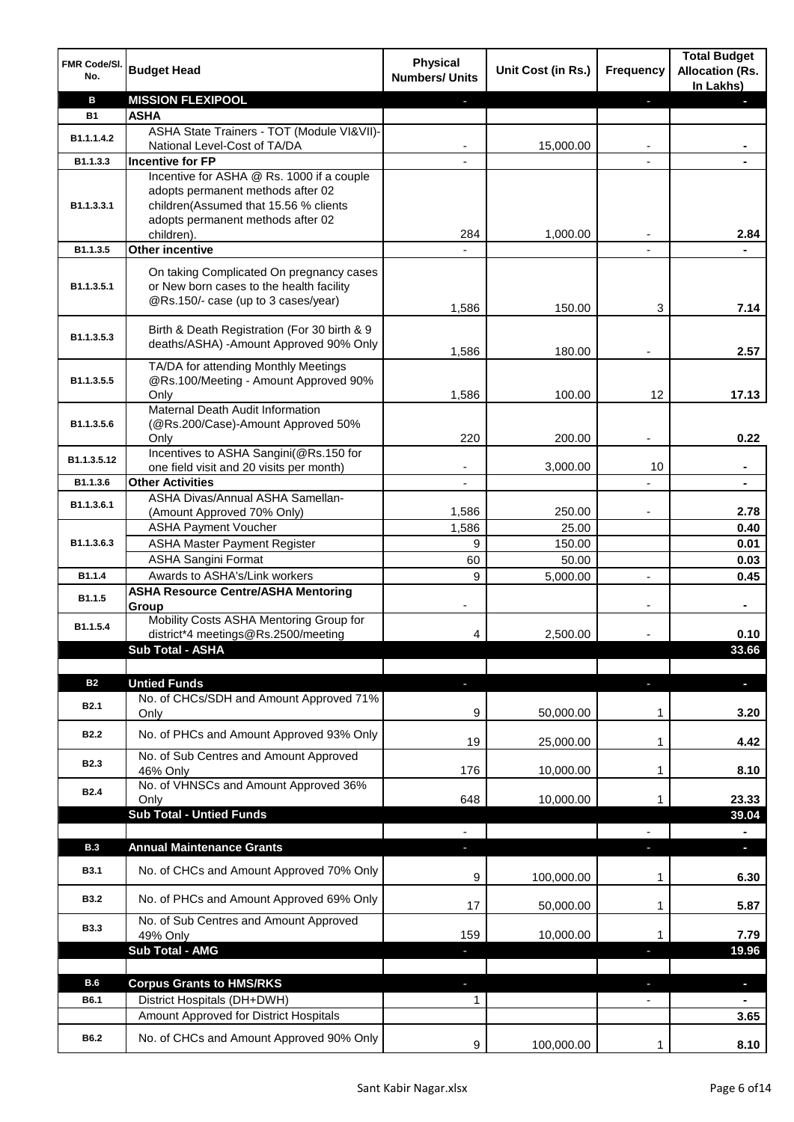| FMR Code/SI.<br>No.     | <b>Budget Head</b>                                                  | <b>Physical</b><br><b>Numbers/ Units</b> | Unit Cost (in Rs.) | <b>Frequency</b> | <b>Total Budget</b><br><b>Allocation (Rs.</b><br>In Lakhs) |
|-------------------------|---------------------------------------------------------------------|------------------------------------------|--------------------|------------------|------------------------------------------------------------|
| B                       | <b>MISSION FLEXIPOOL</b>                                            |                                          |                    | r                |                                                            |
| <b>B1</b>               | <b>ASHA</b>                                                         |                                          |                    |                  |                                                            |
|                         | ASHA State Trainers - TOT (Module VI&VII)-                          |                                          |                    |                  |                                                            |
| B1.1.1.4.2              | National Level-Cost of TA/DA                                        |                                          | 15,000.00          |                  |                                                            |
| B1.1.3.3                | <b>Incentive for FP</b>                                             |                                          |                    |                  |                                                            |
|                         | Incentive for ASHA @ Rs. 1000 if a couple                           |                                          |                    |                  |                                                            |
|                         | adopts permanent methods after 02                                   |                                          |                    |                  |                                                            |
| B <sub>1.1</sub> .3.3.1 | children(Assumed that 15.56 % clients                               |                                          |                    |                  |                                                            |
|                         | adopts permanent methods after 02                                   |                                          |                    |                  |                                                            |
|                         | children).                                                          | 284                                      | 1,000.00           |                  | 2.84                                                       |
| B1.1.3.5                | Other incentive                                                     |                                          |                    |                  |                                                            |
|                         | On taking Complicated On pregnancy cases                            |                                          |                    |                  |                                                            |
| B1.1.3.5.1              | or New born cases to the health facility                            |                                          |                    |                  |                                                            |
|                         | @Rs.150/- case (up to 3 cases/year)                                 |                                          |                    |                  |                                                            |
|                         |                                                                     | 1,586                                    | 150.00             | 3                | 7.14                                                       |
|                         | Birth & Death Registration (For 30 birth & 9                        |                                          |                    |                  |                                                            |
| B1.1.3.5.3              | deaths/ASHA) -Amount Approved 90% Only                              |                                          |                    |                  |                                                            |
|                         |                                                                     | 1,586                                    | 180.00             |                  | 2.57                                                       |
|                         | TA/DA for attending Monthly Meetings                                |                                          |                    |                  |                                                            |
| B1.1.3.5.5              | @Rs.100/Meeting - Amount Approved 90%                               |                                          |                    |                  |                                                            |
|                         | Only                                                                | 1,586                                    | 100.00             | 12               | 17.13                                                      |
|                         | Maternal Death Audit Information                                    |                                          |                    |                  |                                                            |
| B1.1.3.5.6              | (@Rs.200/Case)-Amount Approved 50%                                  |                                          |                    |                  |                                                            |
|                         | Only                                                                | 220                                      | 200.00             |                  | 0.22                                                       |
| B1.1.3.5.12             | Incentives to ASHA Sangini(@Rs.150 for                              |                                          |                    | 10               |                                                            |
| B1.1.3.6                | one field visit and 20 visits per month)<br><b>Other Activities</b> | -                                        | 3,000.00           |                  | ٠                                                          |
|                         | ASHA Divas/Annual ASHA Samellan-                                    | $\overline{\phantom{a}}$                 |                    |                  | $\blacksquare$                                             |
| B1.1.3.6.1              | (Amount Approved 70% Only)                                          | 1,586                                    | 250.00             |                  | 2.78                                                       |
|                         | <b>ASHA Payment Voucher</b>                                         |                                          | 25.00              |                  | 0.40                                                       |
|                         |                                                                     | 1,586                                    |                    |                  |                                                            |
| B1.1.3.6.3              | <b>ASHA Master Payment Register</b>                                 | 9                                        | 150.00             |                  | 0.01                                                       |
|                         | <b>ASHA Sangini Format</b>                                          | 60                                       | 50.00              |                  | 0.03                                                       |
| B1.1.4                  | Awards to ASHA's/Link workers                                       | 9                                        | 5,000.00           | $\overline{a}$   | 0.45                                                       |
| B1.1.5                  | <b>ASHA Resource Centre/ASHA Mentoring</b>                          |                                          |                    |                  |                                                            |
|                         | Group                                                               |                                          |                    |                  | $\blacksquare$                                             |
| B1.1.5.4                | Mobility Costs ASHA Mentoring Group for                             |                                          |                    |                  |                                                            |
|                         | district*4 meetings@Rs.2500/meeting                                 | 4                                        | 2,500.00           |                  | 0.10                                                       |
|                         | <b>Sub Total - ASHA</b>                                             |                                          |                    |                  | 33.66                                                      |
|                         |                                                                     |                                          |                    |                  |                                                            |
| <b>B2</b>               | <b>Untied Funds</b>                                                 | ٠                                        |                    | J,               | $\blacksquare$                                             |
| <b>B2.1</b>             | No. of CHCs/SDH and Amount Approved 71%                             |                                          |                    |                  |                                                            |
|                         | Only                                                                | 9                                        | 50,000.00          | 1                | 3.20                                                       |
| <b>B2.2</b>             | No. of PHCs and Amount Approved 93% Only                            |                                          |                    |                  |                                                            |
|                         |                                                                     | 19                                       | 25,000.00          | 1                | 4.42                                                       |
| <b>B2.3</b>             | No. of Sub Centres and Amount Approved                              |                                          |                    |                  |                                                            |
|                         | 46% Only<br>No. of VHNSCs and Amount Approved 36%                   | 176                                      | 10,000.00          | 1                | 8.10                                                       |
| <b>B2.4</b>             |                                                                     | 648                                      | 10,000.00          | 1                | 23.33                                                      |
|                         | Only                                                                |                                          |                    |                  |                                                            |
|                         | <b>Sub Total - Untied Funds</b>                                     |                                          |                    |                  | 39.04                                                      |
|                         |                                                                     |                                          |                    |                  |                                                            |
| <b>B.3</b>              | <b>Annual Maintenance Grants</b>                                    |                                          |                    |                  |                                                            |
| <b>B3.1</b>             | No. of CHCs and Amount Approved 70% Only                            |                                          |                    |                  |                                                            |
|                         |                                                                     | 9                                        | 100,000.00         | 1                | 6.30                                                       |
| <b>B3.2</b>             | No. of PHCs and Amount Approved 69% Only                            |                                          |                    |                  |                                                            |
|                         |                                                                     | 17                                       | 50,000.00          | 1                | 5.87                                                       |
| <b>B3.3</b>             | No. of Sub Centres and Amount Approved                              |                                          |                    |                  |                                                            |
|                         | 49% Only                                                            | 159                                      | 10,000.00          | 1                | 7.79                                                       |
|                         | <b>Sub Total - AMG</b>                                              | ٠                                        |                    | a,               | 19.96                                                      |
|                         |                                                                     |                                          |                    |                  |                                                            |
| B.6                     | <b>Corpus Grants to HMS/RKS</b>                                     |                                          |                    |                  | $\blacksquare$                                             |
| B6.1                    | District Hospitals (DH+DWH)                                         | 1                                        |                    |                  |                                                            |
|                         | Amount Approved for District Hospitals                              |                                          |                    |                  | 3.65                                                       |
| B6.2                    |                                                                     |                                          |                    |                  |                                                            |
|                         | No. of CHCs and Amount Approved 90% Only                            | 9                                        | 100,000.00         | 1                | 8.10                                                       |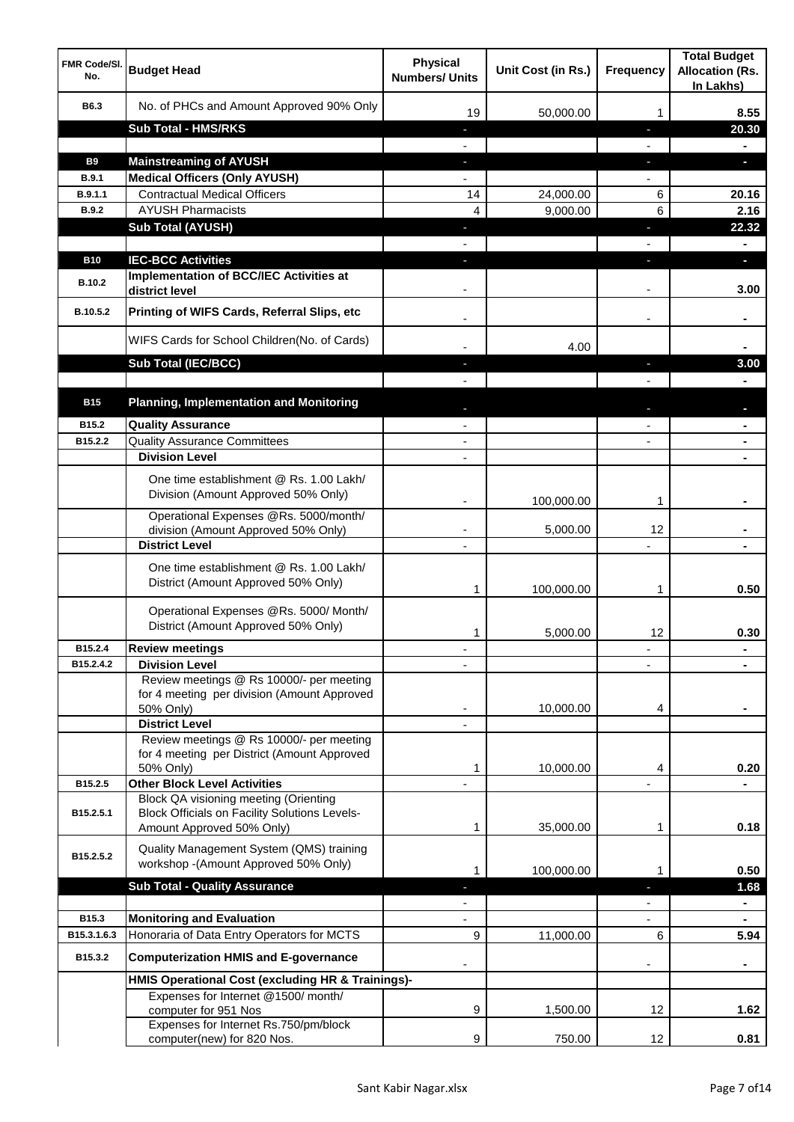| <b>FMR Code/SI.</b><br>No. | <b>Budget Head</b>                                                                                   | <b>Physical</b><br><b>Numbers/ Units</b> | Unit Cost (in Rs.) | <b>Frequency</b> | <b>Total Budget</b><br><b>Allocation (Rs.</b><br>In Lakhs) |
|----------------------------|------------------------------------------------------------------------------------------------------|------------------------------------------|--------------------|------------------|------------------------------------------------------------|
| B6.3                       | No. of PHCs and Amount Approved 90% Only                                                             | 19                                       | 50,000.00          | 1                | 8.55                                                       |
|                            | <b>Sub Total - HMS/RKS</b>                                                                           | ٠                                        |                    | J,               | 20.30                                                      |
|                            |                                                                                                      |                                          |                    |                  |                                                            |
| <b>B9</b>                  | <b>Mainstreaming of AYUSH</b>                                                                        | J,                                       |                    | T                | o.                                                         |
| B.9.1                      | <b>Medical Officers (Only AYUSH)</b>                                                                 |                                          |                    |                  |                                                            |
| B.9.1.1                    | <b>Contractual Medical Officers</b>                                                                  | 14                                       | 24,000.00          | 6                | 20.16                                                      |
| <b>B.9.2</b>               | <b>AYUSH Pharmacists</b>                                                                             | 4                                        | 9,000.00           | 6                | 2.16                                                       |
|                            | <b>Sub Total (AYUSH)</b>                                                                             | T.                                       |                    | J,               | 22.32                                                      |
|                            |                                                                                                      |                                          |                    |                  |                                                            |
| <b>B10</b>                 | <b>IEC-BCC Activities</b>                                                                            |                                          |                    | ı.               | н                                                          |
| <b>B.10.2</b>              | <b>Implementation of BCC/IEC Activities at</b><br>district level                                     |                                          |                    |                  | 3.00                                                       |
| B.10.5.2                   | Printing of WIFS Cards, Referral Slips, etc                                                          |                                          |                    | $\blacksquare$   |                                                            |
|                            | WIFS Cards for School Children(No. of Cards)                                                         |                                          | 4.00               |                  |                                                            |
|                            | Sub Total (IEC/BCC)                                                                                  |                                          |                    | ı                | 3.00                                                       |
|                            |                                                                                                      |                                          |                    |                  |                                                            |
| <b>B15</b>                 | <b>Planning, Implementation and Monitoring</b>                                                       |                                          |                    |                  |                                                            |
| B15.2                      | <b>Quality Assurance</b>                                                                             |                                          |                    |                  |                                                            |
| B15.2.2                    | <b>Quality Assurance Committees</b>                                                                  | $\overline{\phantom{a}}$                 |                    |                  |                                                            |
|                            | <b>Division Level</b>                                                                                | $\blacksquare$                           |                    |                  | $\blacksquare$                                             |
|                            | One time establishment @ Rs. 1.00 Lakh/<br>Division (Amount Approved 50% Only)                       |                                          |                    |                  |                                                            |
|                            |                                                                                                      |                                          | 100,000.00         | 1                |                                                            |
|                            | Operational Expenses @Rs. 5000/month/<br>division (Amount Approved 50% Only)                         | ٠                                        | 5,000.00           | 12               |                                                            |
|                            | <b>District Level</b>                                                                                | $\overline{\phantom{a}}$                 |                    |                  |                                                            |
|                            | One time establishment @ Rs. 1.00 Lakh/<br>District (Amount Approved 50% Only)                       | 1                                        | 100,000.00         | 1                | 0.50                                                       |
|                            | Operational Expenses @Rs. 5000/ Month/<br>District (Amount Approved 50% Only)                        | 1                                        | 5,000.00           | 12               | 0.30                                                       |
| B15.2.4                    | <b>Review meetings</b>                                                                               |                                          |                    | ٠                |                                                            |
| B15.2.4.2                  | <b>Division Level</b>                                                                                |                                          |                    |                  |                                                            |
|                            | Review meetings @ Rs 10000/- per meeting<br>for 4 meeting per division (Amount Approved<br>50% Only) |                                          | 10,000.00          | 4                |                                                            |
|                            | <b>District Level</b>                                                                                |                                          |                    |                  |                                                            |
|                            | Review meetings @ Rs 10000/- per meeting                                                             |                                          |                    |                  |                                                            |
|                            | for 4 meeting per District (Amount Approved                                                          |                                          |                    |                  |                                                            |
|                            | 50% Only)<br><b>Other Block Level Activities</b>                                                     | 1                                        | 10,000.00          | 4                | 0.20                                                       |
| B15.2.5                    | Block QA visioning meeting (Orienting                                                                |                                          |                    |                  |                                                            |
| B15.2.5.1                  | <b>Block Officials on Facility Solutions Levels-</b>                                                 |                                          |                    |                  |                                                            |
|                            | Amount Approved 50% Only)                                                                            | 1                                        | 35,000.00          | 1                | 0.18                                                       |
| B15.2.5.2                  | Quality Management System (QMS) training<br>workshop -(Amount Approved 50% Only)                     |                                          |                    |                  |                                                            |
|                            |                                                                                                      | 1                                        | 100,000.00         | 1                | 0.50                                                       |
|                            | <b>Sub Total - Quality Assurance</b>                                                                 |                                          |                    |                  | 1.68                                                       |
| B15.3                      | <b>Monitoring and Evaluation</b>                                                                     |                                          |                    |                  | $\blacksquare$                                             |
| B15.3.1.6.3                | Honoraria of Data Entry Operators for MCTS                                                           | 9                                        | 11,000.00          | 6                | 5.94                                                       |
| B15.3.2                    | <b>Computerization HMIS and E-governance</b>                                                         |                                          |                    |                  |                                                            |
|                            | HMIS Operational Cost (excluding HR & Trainings)-                                                    |                                          |                    |                  |                                                            |
|                            | Expenses for Internet @1500/month/                                                                   |                                          |                    |                  |                                                            |
|                            | computer for 951 Nos                                                                                 | 9                                        | 1,500.00           | 12               | 1.62                                                       |
|                            | Expenses for Internet Rs.750/pm/block                                                                |                                          |                    |                  |                                                            |
|                            | computer(new) for 820 Nos.                                                                           | 9                                        | 750.00             | 12               | 0.81                                                       |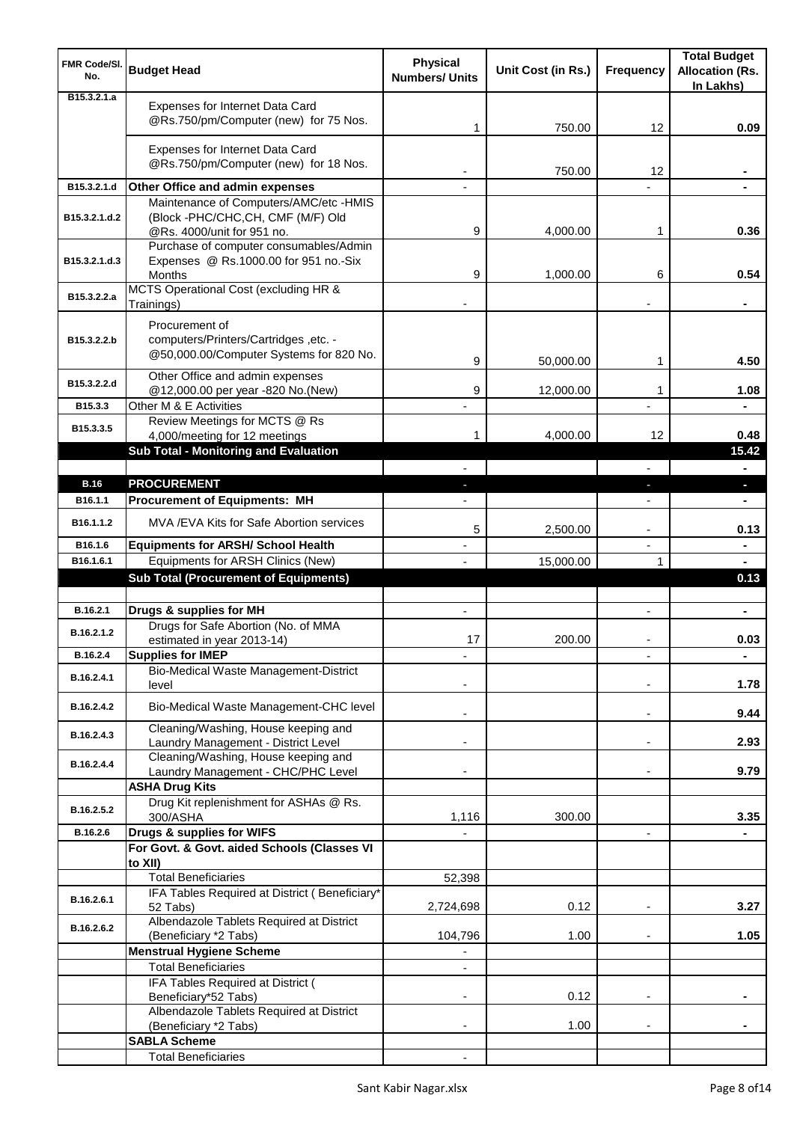| FMR Code/SI.<br>No.          | <b>Budget Head</b>                                                                                 | <b>Physical</b><br><b>Numbers/ Units</b> | Unit Cost (in Rs.) | <b>Frequency</b>         | <b>Total Budget</b><br><b>Allocation (Rs.</b><br>In Lakhs) |
|------------------------------|----------------------------------------------------------------------------------------------------|------------------------------------------|--------------------|--------------------------|------------------------------------------------------------|
| B <sub>15</sub> , 3, 2, 1, a | Expenses for Internet Data Card<br>@Rs.750/pm/Computer (new) for 75 Nos.                           | 1                                        | 750.00             | 12                       | 0.09                                                       |
|                              | Expenses for Internet Data Card<br>@Rs.750/pm/Computer (new) for 18 Nos.                           |                                          | 750.00             | 12                       |                                                            |
| B15.3.2.1.d                  | Other Office and admin expenses                                                                    |                                          |                    |                          |                                                            |
|                              | Maintenance of Computers/AMC/etc -HMIS                                                             |                                          |                    |                          |                                                            |
| B15.3.2.1.d.2                | (Block -PHC/CHC,CH, CMF (M/F) Old<br>@Rs. 4000/unit for 951 no.                                    | 9                                        | 4,000.00           | 1                        | 0.36                                                       |
|                              | Purchase of computer consumables/Admin                                                             |                                          |                    |                          |                                                            |
| B15.3.2.1.d.3                | Expenses @ Rs.1000.00 for 951 no.-Six                                                              |                                          |                    |                          |                                                            |
|                              | Months<br>MCTS Operational Cost (excluding HR &                                                    | 9                                        | 1,000.00           | 6                        | 0.54                                                       |
| B15.3.2.2.a                  | Trainings)                                                                                         |                                          |                    |                          |                                                            |
| B15.3.2.2.b                  | Procurement of<br>computers/Printers/Cartridges, etc. -<br>@50,000.00/Computer Systems for 820 No. | 9                                        | 50,000.00          | 1                        | 4.50                                                       |
| B15.3.2.2.d                  | Other Office and admin expenses                                                                    |                                          |                    |                          |                                                            |
| B15.3.3                      | @12,000.00 per year -820 No.(New)<br>Other M & E Activities                                        | 9                                        | 12,000.00          | 1                        | 1.08                                                       |
|                              | Review Meetings for MCTS @ Rs                                                                      |                                          |                    |                          |                                                            |
| B15.3.3.5                    | 4,000/meeting for 12 meetings                                                                      | 1                                        | 4,000.00           | 12                       | 0.48                                                       |
|                              | Sub Total - Monitoring and Evaluation                                                              |                                          |                    |                          | 15.42                                                      |
| <b>B.16</b>                  | <b>PROCUREMENT</b>                                                                                 |                                          |                    |                          |                                                            |
| B16.1.1                      | <b>Procurement of Equipments: MH</b>                                                               |                                          |                    | J,                       | н.                                                         |
| B16.1.1.2                    | MVA /EVA Kits for Safe Abortion services                                                           | 5                                        | 2,500.00           | -                        | 0.13                                                       |
| B16.1.6                      | <b>Equipments for ARSH/ School Health</b>                                                          |                                          |                    |                          | ۰                                                          |
| B16.1.6.1                    | Equipments for ARSH Clinics (New)                                                                  |                                          | 15,000.00          | 1                        |                                                            |
|                              | <b>Sub Total (Procurement of Equipments)</b>                                                       |                                          |                    |                          | 0.13                                                       |
|                              |                                                                                                    |                                          |                    |                          |                                                            |
| B.16.2.1                     | Drugs & supplies for MH<br>Drugs for Safe Abortion (No. of MMA                                     | $\blacksquare$                           |                    | $\overline{\phantom{0}}$ | $\blacksquare$                                             |
| B.16.2.1.2                   | estimated in year 2013-14)                                                                         | 17                                       | 200.00             |                          | 0.03                                                       |
| B.16.2.4                     | <b>Supplies for IMEP</b>                                                                           |                                          |                    |                          | $\blacksquare$                                             |
| B.16.2.4.1                   | Bio-Medical Waste Management-District<br>level                                                     |                                          |                    |                          | 1.78                                                       |
| B.16.2.4.2                   | Bio-Medical Waste Management-CHC level                                                             |                                          |                    | ۰                        | 9.44                                                       |
| B.16.2.4.3                   | Cleaning/Washing, House keeping and                                                                |                                          |                    |                          |                                                            |
|                              | Laundry Management - District Level<br>Cleaning/Washing, House keeping and                         |                                          |                    | $\blacksquare$           | 2.93                                                       |
| B.16.2.4.4                   | Laundry Management - CHC/PHC Level                                                                 |                                          |                    |                          | 9.79                                                       |
|                              | <b>ASHA Drug Kits</b>                                                                              |                                          |                    |                          |                                                            |
| B.16.2.5.2                   | Drug Kit replenishment for ASHAs @ Rs.                                                             |                                          |                    |                          |                                                            |
| B.16.2.6                     | 300/ASHA<br>Drugs & supplies for WIFS                                                              | 1,116                                    | 300.00             | $\overline{\phantom{m}}$ | 3.35                                                       |
|                              | For Govt. & Govt. aided Schools (Classes VI                                                        |                                          |                    |                          |                                                            |
|                              | to XII)                                                                                            |                                          |                    |                          |                                                            |
|                              | <b>Total Beneficiaries</b>                                                                         | 52,398                                   |                    |                          |                                                            |
| B.16.2.6.1                   | IFA Tables Required at District (Beneficiary*<br>52 Tabs)                                          | 2,724,698                                | 0.12               |                          | 3.27                                                       |
| B.16.2.6.2                   | Albendazole Tablets Required at District<br>(Beneficiary *2 Tabs)                                  | 104,796                                  | 1.00               |                          | 1.05                                                       |
|                              | <b>Menstrual Hygiene Scheme</b>                                                                    |                                          |                    |                          |                                                            |
|                              | <b>Total Beneficiaries</b>                                                                         |                                          |                    |                          |                                                            |
|                              | IFA Tables Required at District (                                                                  |                                          |                    |                          |                                                            |
|                              | Beneficiary*52 Tabs)<br>Albendazole Tablets Required at District                                   |                                          | 0.12               |                          |                                                            |
|                              | (Beneficiary *2 Tabs)                                                                              | ٠                                        | 1.00               | $\blacksquare$           |                                                            |
|                              | <b>SABLA Scheme</b>                                                                                |                                          |                    |                          |                                                            |
|                              | <b>Total Beneficiaries</b>                                                                         |                                          |                    |                          |                                                            |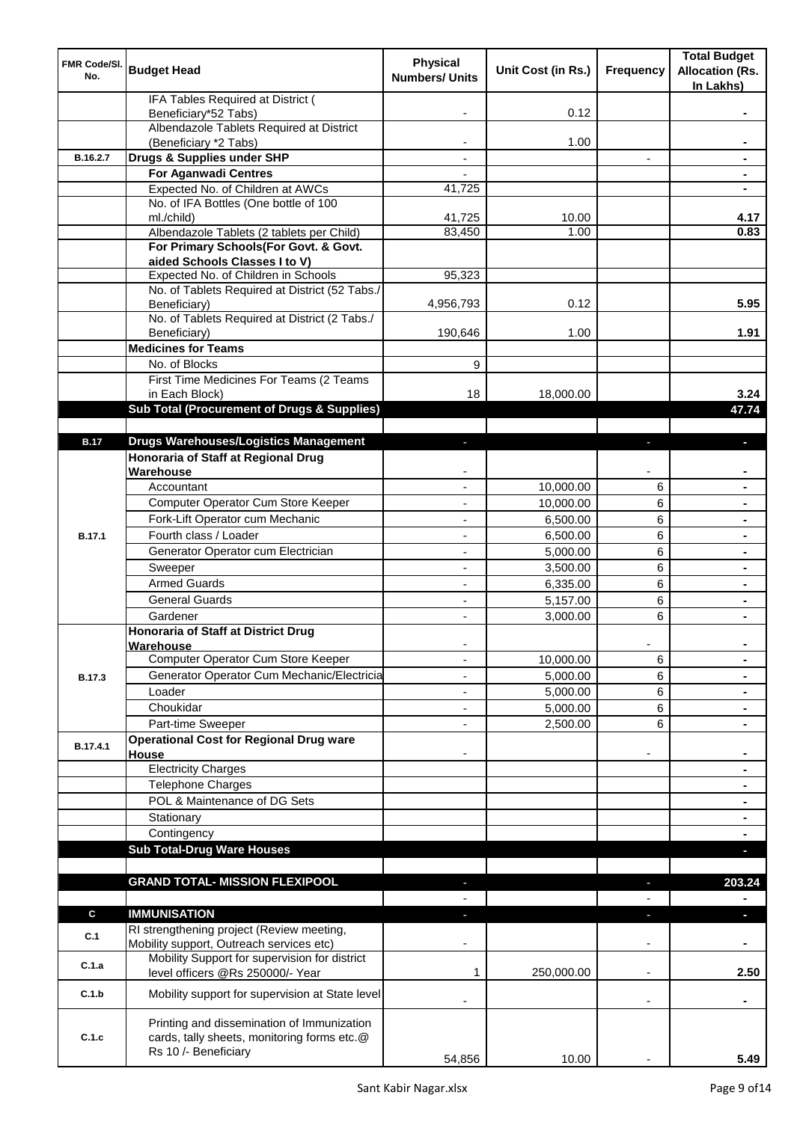| FMR Code/SI.<br>No. | <b>Budget Head</b>                                                                        | <b>Physical</b><br><b>Numbers/ Units</b> | Unit Cost (in Rs.) | <b>Frequency</b>         | <b>Total Budget</b><br><b>Allocation (Rs.</b><br>In Lakhs) |
|---------------------|-------------------------------------------------------------------------------------------|------------------------------------------|--------------------|--------------------------|------------------------------------------------------------|
|                     | IFA Tables Required at District (<br>Beneficiary*52 Tabs)                                 |                                          | 0.12               |                          |                                                            |
|                     | Albendazole Tablets Required at District                                                  |                                          |                    |                          |                                                            |
|                     | (Beneficiary *2 Tabs)                                                                     |                                          | 1.00               |                          |                                                            |
| B.16.2.7            | Drugs & Supplies under SHP                                                                |                                          |                    |                          |                                                            |
|                     | <b>For Aganwadi Centres</b>                                                               |                                          |                    |                          |                                                            |
|                     | Expected No. of Children at AWCs<br>No. of IFA Bottles (One bottle of 100                 | 41,725                                   |                    |                          |                                                            |
|                     | ml./child)                                                                                | 41,725                                   | 10.00              |                          | 4.17                                                       |
|                     | Albendazole Tablets (2 tablets per Child)                                                 | 83,450                                   | 1.00               |                          | 0.83                                                       |
|                     | For Primary Schools(For Govt. & Govt.                                                     |                                          |                    |                          |                                                            |
|                     | aided Schools Classes I to V)                                                             |                                          |                    |                          |                                                            |
|                     | Expected No. of Children in Schools                                                       | 95,323                                   |                    |                          |                                                            |
|                     | No. of Tablets Required at District (52 Tabs./<br>Beneficiary)                            | 4,956,793                                | 0.12               |                          | 5.95                                                       |
|                     | No. of Tablets Required at District (2 Tabs./                                             |                                          |                    |                          |                                                            |
|                     | Beneficiary)                                                                              | 190,646                                  | 1.00               |                          | 1.91                                                       |
|                     | <b>Medicines for Teams</b>                                                                |                                          |                    |                          |                                                            |
|                     | No. of Blocks                                                                             | 9                                        |                    |                          |                                                            |
|                     | First Time Medicines For Teams (2 Teams                                                   |                                          |                    |                          |                                                            |
|                     | in Each Block)                                                                            | 18                                       | 18,000.00          |                          | 3.24                                                       |
|                     | Sub Total (Procurement of Drugs & Supplies)                                               |                                          |                    |                          | 47.74                                                      |
| <b>B.17</b>         | <b>Drugs Warehouses/Logistics Management</b>                                              | r.                                       |                    | J,                       | o.                                                         |
|                     | Honoraria of Staff at Regional Drug                                                       |                                          |                    |                          |                                                            |
|                     | Warehouse                                                                                 |                                          |                    |                          |                                                            |
|                     | Accountant                                                                                |                                          | 10,000.00          | 6                        |                                                            |
|                     | Computer Operator Cum Store Keeper                                                        |                                          | 10,000.00          | 6                        |                                                            |
|                     | Fork-Lift Operator cum Mechanic                                                           |                                          | 6,500.00           | 6                        |                                                            |
| <b>B.17.1</b>       | Fourth class / Loader                                                                     |                                          | 6,500.00           | 6                        |                                                            |
|                     | Generator Operator cum Electrician                                                        |                                          | 5,000.00           | 6                        |                                                            |
|                     | Sweeper                                                                                   |                                          | 3,500.00           | 6                        |                                                            |
|                     | <b>Armed Guards</b>                                                                       |                                          | 6,335.00           | 6                        |                                                            |
|                     | <b>General Guards</b>                                                                     |                                          | 5,157.00           | 6                        |                                                            |
|                     | Gardener                                                                                  |                                          | 3,000.00           | 6                        |                                                            |
|                     | <b>Honoraria of Staff at District Drug</b>                                                |                                          |                    |                          |                                                            |
|                     | Warehouse<br>Computer Operator Cum Store Keeper                                           | $\blacksquare$                           | 10,000.00          | 6                        | $\blacksquare$                                             |
| B.17.3              | Generator Operator Cum Mechanic/Electricia                                                | $\blacksquare$                           | 5,000.00           | 6                        | $\blacksquare$                                             |
|                     | Loader                                                                                    |                                          | 5,000.00           | 6                        |                                                            |
|                     | Choukidar                                                                                 |                                          | 5,000.00           | 6                        |                                                            |
|                     | Part-time Sweeper                                                                         |                                          | 2,500.00           | 6                        |                                                            |
| B.17.4.1            | <b>Operational Cost for Regional Drug ware</b>                                            |                                          |                    |                          |                                                            |
|                     | House                                                                                     |                                          |                    |                          |                                                            |
|                     | <b>Electricity Charges</b>                                                                |                                          |                    |                          |                                                            |
|                     | <b>Telephone Charges</b><br>POL & Maintenance of DG Sets                                  |                                          |                    |                          |                                                            |
|                     |                                                                                           |                                          |                    |                          |                                                            |
|                     | Stationary<br>Contingency                                                                 |                                          |                    |                          | ۰                                                          |
|                     | <b>Sub Total-Drug Ware Houses</b>                                                         |                                          |                    |                          | ٠<br>o.                                                    |
|                     |                                                                                           |                                          |                    |                          |                                                            |
|                     | <b>GRAND TOTAL- MISSION FLEXIPOOL</b>                                                     | ٠                                        |                    | $\blacksquare$           | 203.24                                                     |
|                     |                                                                                           |                                          |                    |                          |                                                            |
| $\mathbf c$         | <b>IMMUNISATION</b>                                                                       | ÷.                                       |                    | $\blacksquare$           | a.                                                         |
| C.1                 | RI strengthening project (Review meeting,<br>Mobility support, Outreach services etc)     |                                          |                    | $\overline{\phantom{a}}$ |                                                            |
| C.1.a               | Mobility Support for supervision for district                                             |                                          |                    |                          |                                                            |
|                     | level officers @Rs 250000/- Year                                                          | 1                                        | 250,000.00         |                          | 2.50                                                       |
| C.1.b               | Mobility support for supervision at State level                                           |                                          |                    |                          |                                                            |
| C.1.c               | Printing and dissemination of Immunization<br>cards, tally sheets, monitoring forms etc.@ |                                          |                    |                          |                                                            |
|                     | Rs 10 /- Beneficiary                                                                      | 54,856                                   | 10.00              |                          | 5.49                                                       |
|                     |                                                                                           |                                          |                    |                          |                                                            |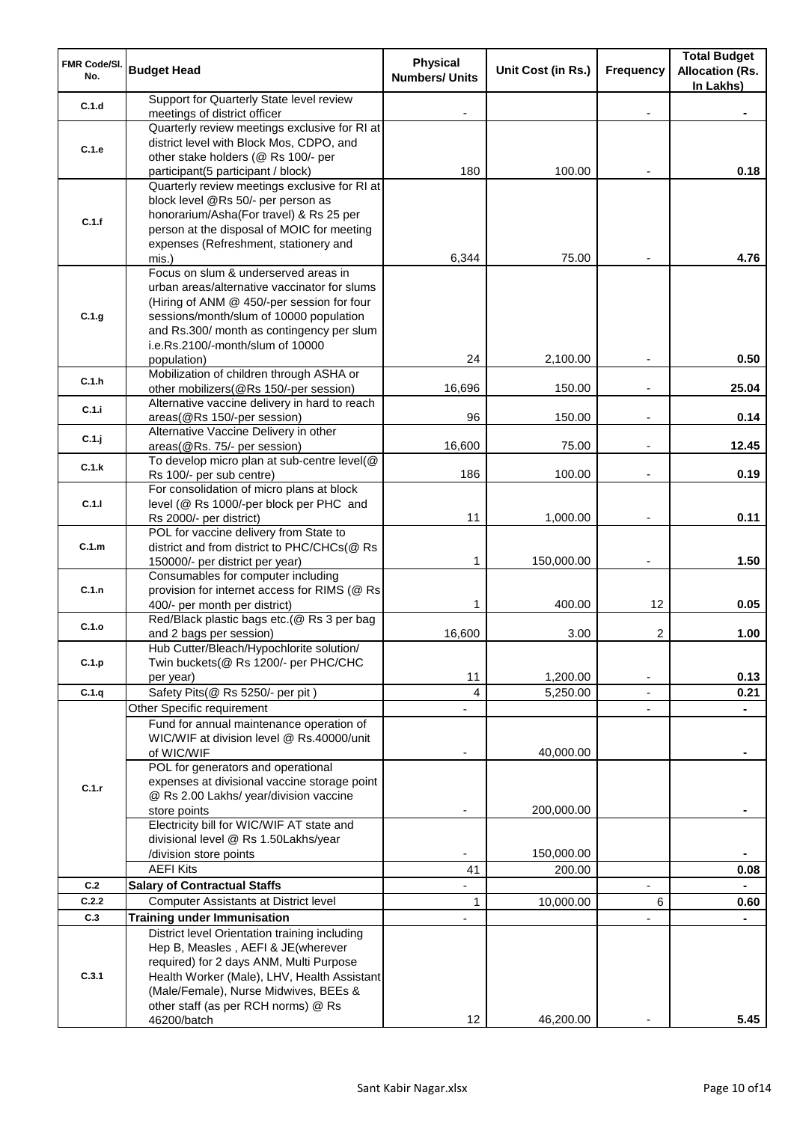| FMR Code/SI.<br>No. | <b>Budget Head</b>                                                                                                                                                                                                                                                            | <b>Physical</b><br><b>Numbers/ Units</b> | Unit Cost (in Rs.)   | <b>Frequency</b> | <b>Total Budget</b><br><b>Allocation (Rs.</b><br>In Lakhs) |
|---------------------|-------------------------------------------------------------------------------------------------------------------------------------------------------------------------------------------------------------------------------------------------------------------------------|------------------------------------------|----------------------|------------------|------------------------------------------------------------|
| C.1.d               | Support for Quarterly State level review<br>meetings of district officer                                                                                                                                                                                                      |                                          |                      |                  |                                                            |
| C.1.e               | Quarterly review meetings exclusive for RI at<br>district level with Block Mos, CDPO, and<br>other stake holders (@ Rs 100/- per<br>participant(5 participant / block)                                                                                                        | 180                                      | 100.00               |                  | 0.18                                                       |
| C.1.f               | Quarterly review meetings exclusive for RI at<br>block level @Rs 50/- per person as<br>honorarium/Asha(For travel) & Rs 25 per<br>person at the disposal of MOIC for meeting<br>expenses (Refreshment, stationery and<br>mis.)                                                | 6,344                                    | 75.00                |                  | 4.76                                                       |
| C.1.g               | Focus on slum & underserved areas in<br>urban areas/alternative vaccinator for slums<br>(Hiring of ANM @ 450/-per session for four<br>sessions/month/slum of 10000 population<br>and Rs.300/ month as contingency per slum<br>i.e.Rs.2100/-month/slum of 10000<br>population) | 24                                       | 2,100.00             |                  | 0.50                                                       |
| C.1.h               | Mobilization of children through ASHA or                                                                                                                                                                                                                                      |                                          |                      |                  |                                                            |
| C.1.i               | other mobilizers(@Rs 150/-per session)<br>Alternative vaccine delivery in hard to reach                                                                                                                                                                                       | 16,696                                   | 150.00               | ä,               | 25.04                                                      |
| C.1.j               | areas(@Rs 150/-per session)<br>Alternative Vaccine Delivery in other                                                                                                                                                                                                          | 96                                       | 150.00               |                  | 0.14                                                       |
| C.1.k               | areas(@Rs. 75/- per session)<br>To develop micro plan at sub-centre level(@                                                                                                                                                                                                   | 16,600                                   | 75.00                |                  | 12.45                                                      |
|                     | Rs 100/- per sub centre)<br>For consolidation of micro plans at block                                                                                                                                                                                                         | 186                                      | 100.00               | $\overline{a}$   | 0.19                                                       |
| C.1.1               | level (@ Rs 1000/-per block per PHC and<br>Rs 2000/- per district)                                                                                                                                                                                                            | 11                                       | 1,000.00             |                  | 0.11                                                       |
| C.1.m               | POL for vaccine delivery from State to<br>district and from district to PHC/CHCs(@ Rs<br>150000/- per district per year)                                                                                                                                                      | 1                                        | 150,000.00           |                  | 1.50                                                       |
| C.1.n               | Consumables for computer including<br>provision for internet access for RIMS (@ Rs<br>400/- per month per district)                                                                                                                                                           | 1                                        | 400.00               | 12               | 0.05                                                       |
| C.1.o               | Red/Black plastic bags etc.(@ Rs 3 per bag                                                                                                                                                                                                                                    |                                          |                      |                  |                                                            |
| C.1.p               | and 2 bags per session)<br>Hub Cutter/Bleach/Hypochlorite solution/<br>Twin buckets(@ Rs 1200/- per PHC/CHC                                                                                                                                                                   | 16,600                                   | 3.00                 | 2                | 1.00                                                       |
| C.1.q               | per year)<br>Safety Pits(@ Rs 5250/- per pit)                                                                                                                                                                                                                                 | 11<br>4                                  | 1,200.00<br>5,250.00 |                  | 0.13<br>0.21                                               |
|                     | Other Specific requirement                                                                                                                                                                                                                                                    |                                          |                      |                  |                                                            |
|                     | Fund for annual maintenance operation of<br>WIC/WIF at division level @ Rs.40000/unit<br>of WIC/WIF<br>POL for generators and operational                                                                                                                                     |                                          | 40,000.00            |                  |                                                            |
| C.1.r               | expenses at divisional vaccine storage point<br>@ Rs 2.00 Lakhs/ year/division vaccine<br>store points                                                                                                                                                                        |                                          | 200,000.00           |                  |                                                            |
|                     | Electricity bill for WIC/WIF AT state and<br>divisional level @ Rs 1.50Lakhs/year<br>/division store points                                                                                                                                                                   |                                          | 150,000.00           |                  |                                                            |
| C.2                 | <b>AEFI Kits</b><br><b>Salary of Contractual Staffs</b>                                                                                                                                                                                                                       | 41                                       | 200.00               |                  | 0.08                                                       |
| C.2.2               | Computer Assistants at District level                                                                                                                                                                                                                                         | 1                                        | 10,000.00            | 6                | 0.60                                                       |
| C.3                 | <b>Training under Immunisation</b>                                                                                                                                                                                                                                            |                                          |                      |                  |                                                            |
| C.3.1               | District level Orientation training including<br>Hep B, Measles, AEFI & JE(wherever<br>required) for 2 days ANM, Multi Purpose<br>Health Worker (Male), LHV, Health Assistant<br>(Male/Female), Nurse Midwives, BEEs &<br>other staff (as per RCH norms) @ Rs<br>46200/batch  | 12                                       | 46,200.00            |                  | 5.45                                                       |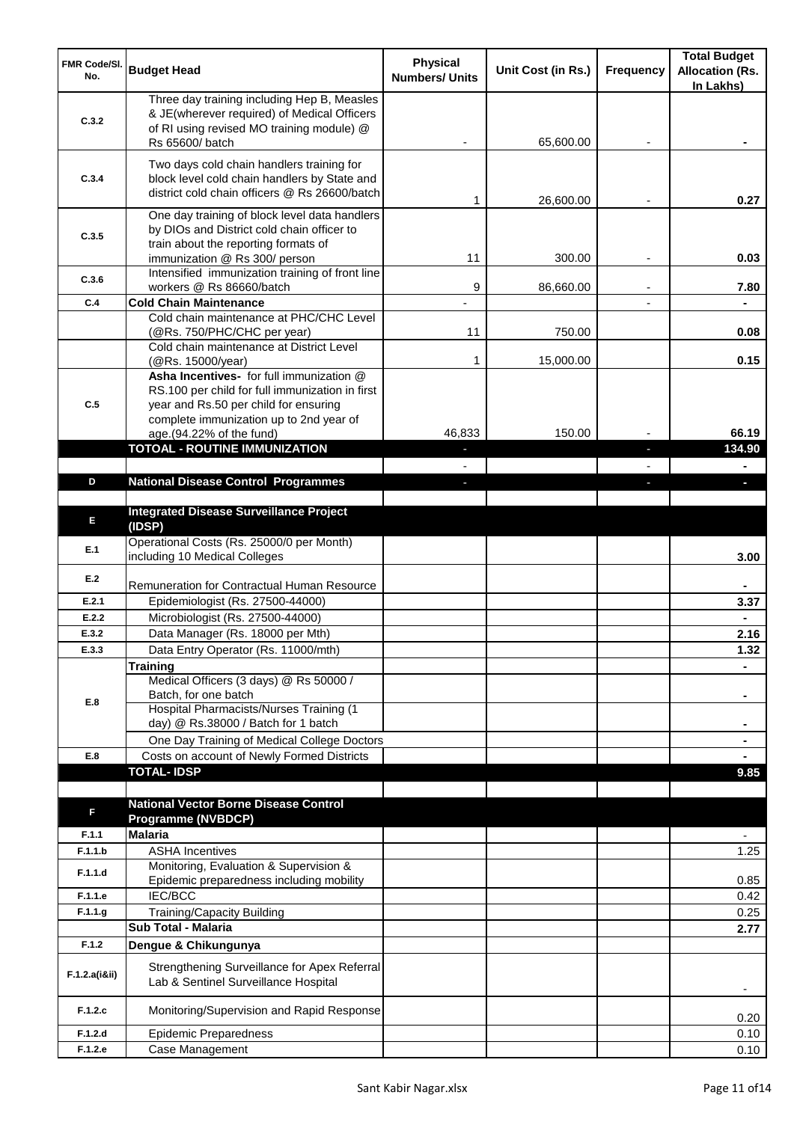| <b>FMR Code/SI.</b><br>No. | <b>Budget Head</b>                                                                                                                         | <b>Physical</b><br><b>Numbers/ Units</b> | Unit Cost (in Rs.) | <b>Frequency</b> | <b>Total Budget</b><br><b>Allocation (Rs.</b><br>In Lakhs) |
|----------------------------|--------------------------------------------------------------------------------------------------------------------------------------------|------------------------------------------|--------------------|------------------|------------------------------------------------------------|
| C.3.2                      | Three day training including Hep B, Measles<br>& JE(wherever required) of Medical Officers<br>of RI using revised MO training module) @    |                                          |                    |                  |                                                            |
|                            | Rs 65600/ batch                                                                                                                            |                                          | 65,600.00          |                  |                                                            |
| C.3.4                      | Two days cold chain handlers training for<br>block level cold chain handlers by State and<br>district cold chain officers @ Rs 26600/batch | 1                                        | 26,600.00          |                  | 0.27                                                       |
| C.3.5                      | One day training of block level data handlers<br>by DIOs and District cold chain officer to<br>train about the reporting formats of        |                                          |                    |                  |                                                            |
| C.3.6                      | immunization @ Rs 300/ person<br>Intensified immunization training of front line                                                           | 11                                       | 300.00             |                  | 0.03                                                       |
|                            | workers @ Rs 86660/batch                                                                                                                   | 9                                        | 86,660.00          |                  | 7.80                                                       |
| C.4                        | <b>Cold Chain Maintenance</b>                                                                                                              |                                          |                    |                  |                                                            |
|                            | Cold chain maintenance at PHC/CHC Level<br>(@Rs. 750/PHC/CHC per year)                                                                     | 11                                       | 750.00             |                  | 0.08                                                       |
|                            | Cold chain maintenance at District Level<br>(@Rs. 15000/year)                                                                              | 1                                        | 15,000.00          |                  | 0.15                                                       |
| C.5                        | Asha Incentives- for full immunization @<br>RS.100 per child for full immunization in first<br>year and Rs.50 per child for ensuring       |                                          |                    |                  |                                                            |
|                            | complete immunization up to 2nd year of<br>age.(94.22% of the fund)                                                                        | 46,833                                   | 150.00             |                  | 66.19                                                      |
|                            | <b>TOTOAL - ROUTINE IMMUNIZATION</b>                                                                                                       |                                          |                    | r.               | 134.90                                                     |
|                            |                                                                                                                                            |                                          |                    |                  |                                                            |
| D                          | <b>National Disease Control Programmes</b>                                                                                                 | J.                                       |                    |                  | ı                                                          |
|                            |                                                                                                                                            |                                          |                    |                  |                                                            |
| E                          | <b>Integrated Disease Surveillance Project</b><br>(IDSP)                                                                                   |                                          |                    |                  |                                                            |
| E.1                        | Operational Costs (Rs. 25000/0 per Month)<br>including 10 Medical Colleges                                                                 |                                          |                    |                  | 3.00                                                       |
| E.2                        | <b>Remuneration for Contractual Human Resource</b>                                                                                         |                                          |                    |                  |                                                            |
| E.2.1                      | Epidemiologist (Rs. 27500-44000)                                                                                                           |                                          |                    |                  | 3.37                                                       |
| E.2.2                      | Microbiologist (Rs. 27500-44000)                                                                                                           |                                          |                    |                  |                                                            |
| E.3.2                      | Data Manager (Rs. 18000 per Mth)                                                                                                           |                                          |                    |                  | 2.16                                                       |
| E.3.3                      | Data Entry Operator (Rs. 11000/mth)<br><b>Training</b>                                                                                     |                                          |                    |                  | $1.32$                                                     |
|                            | Medical Officers (3 days) @ Rs 50000 /                                                                                                     |                                          |                    |                  |                                                            |
| E.8                        | Batch, for one batch                                                                                                                       |                                          |                    |                  |                                                            |
|                            | Hospital Pharmacists/Nurses Training (1                                                                                                    |                                          |                    |                  |                                                            |
|                            | day) @ Rs.38000 / Batch for 1 batch                                                                                                        |                                          |                    |                  |                                                            |
| E.8                        | One Day Training of Medical College Doctors<br>Costs on account of Newly Formed Districts                                                  |                                          |                    |                  |                                                            |
|                            | <b>TOTAL-IDSP</b>                                                                                                                          |                                          |                    |                  | 9.85                                                       |
|                            |                                                                                                                                            |                                          |                    |                  |                                                            |
| F                          | <b>National Vector Borne Disease Control</b>                                                                                               |                                          |                    |                  |                                                            |
|                            | <b>Programme (NVBDCP)</b>                                                                                                                  |                                          |                    |                  |                                                            |
| F.1.1                      | <b>Malaria</b>                                                                                                                             |                                          |                    |                  |                                                            |
| F.1.1.b                    | <b>ASHA Incentives</b><br>Monitoring, Evaluation & Supervision &                                                                           |                                          |                    |                  | 1.25                                                       |
| F.1.1.d                    | Epidemic preparedness including mobility                                                                                                   |                                          |                    |                  | 0.85                                                       |
| F.1.1.e                    | IEC/BCC                                                                                                                                    |                                          |                    |                  | 0.42                                                       |
| F.1.1.g                    | Training/Capacity Building                                                                                                                 |                                          |                    |                  | 0.25                                                       |
|                            | Sub Total - Malaria                                                                                                                        |                                          |                    |                  | 2.77                                                       |
| F.1.2                      | Dengue & Chikungunya                                                                                                                       |                                          |                    |                  |                                                            |
| F.1.2.a(iⅈ)                | Strengthening Surveillance for Apex Referral<br>Lab & Sentinel Surveillance Hospital                                                       |                                          |                    |                  |                                                            |
| F.1.2.c                    | Monitoring/Supervision and Rapid Response                                                                                                  |                                          |                    |                  | 0.20                                                       |
| F.1.2.d                    | <b>Epidemic Preparedness</b>                                                                                                               |                                          |                    |                  | 0.10                                                       |
| F.1.2.e                    | Case Management                                                                                                                            |                                          |                    |                  | 0.10                                                       |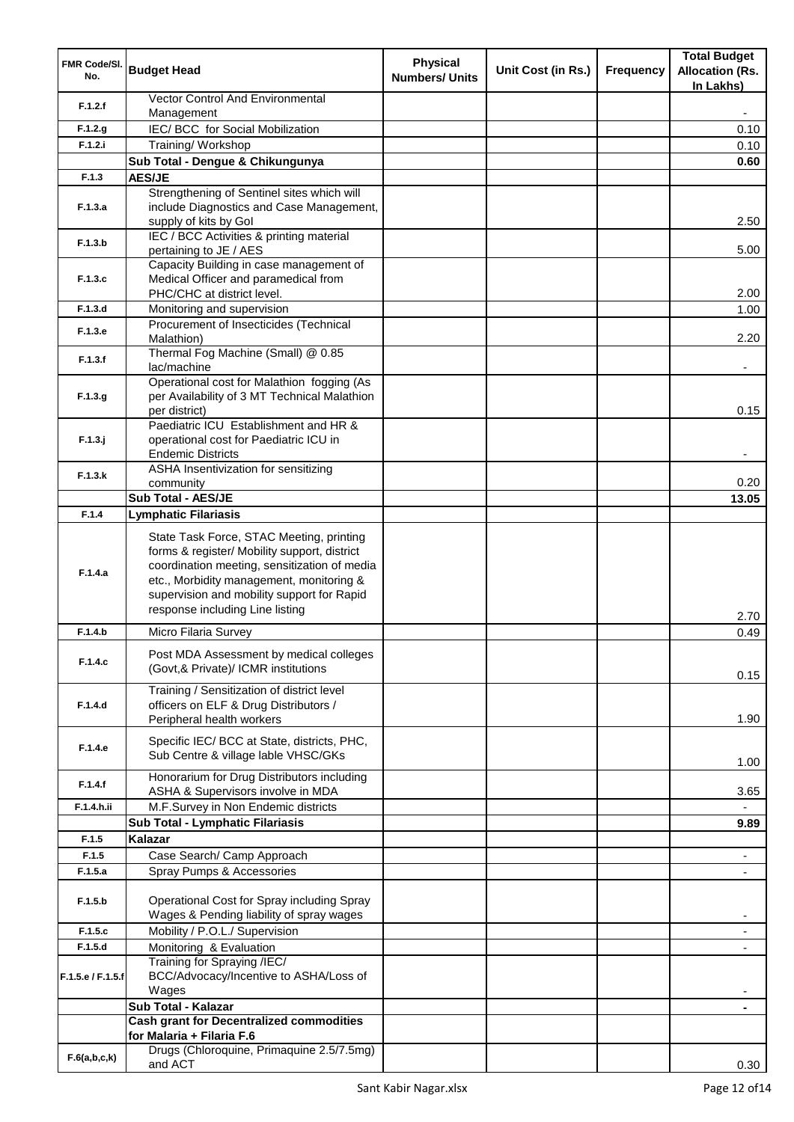| FMR Code/SI.<br>No. | <b>Budget Head</b>                                                                                                                                                                                                                                                    | <b>Physical</b><br><b>Numbers/ Units</b> | Unit Cost (in Rs.) | <b>Frequency</b> | <b>Total Budget</b><br><b>Allocation (Rs.</b><br>In Lakhs) |
|---------------------|-----------------------------------------------------------------------------------------------------------------------------------------------------------------------------------------------------------------------------------------------------------------------|------------------------------------------|--------------------|------------------|------------------------------------------------------------|
| F.1.2.f             | <b>Vector Control And Environmental</b><br>Management                                                                                                                                                                                                                 |                                          |                    |                  |                                                            |
| F.1.2.g             | IEC/BCC for Social Mobilization                                                                                                                                                                                                                                       |                                          |                    |                  | 0.10                                                       |
| F.1.2.i             | Training/ Workshop                                                                                                                                                                                                                                                    |                                          |                    |                  | 0.10                                                       |
|                     | Sub Total - Dengue & Chikungunya                                                                                                                                                                                                                                      |                                          |                    |                  | 0.60                                                       |
| F.1.3               | <b>AES/JE</b>                                                                                                                                                                                                                                                         |                                          |                    |                  |                                                            |
|                     | Strengthening of Sentinel sites which will                                                                                                                                                                                                                            |                                          |                    |                  |                                                            |
| F.1.3.a             | include Diagnostics and Case Management,<br>supply of kits by Gol                                                                                                                                                                                                     |                                          |                    |                  | 2.50                                                       |
| F.1.3.b             | IEC / BCC Activities & printing material<br>pertaining to JE / AES                                                                                                                                                                                                    |                                          |                    |                  | 5.00                                                       |
| F.1.3.c             | Capacity Building in case management of<br>Medical Officer and paramedical from<br>PHC/CHC at district level.                                                                                                                                                         |                                          |                    |                  | 2.00                                                       |
| F.1.3.d             | Monitoring and supervision                                                                                                                                                                                                                                            |                                          |                    |                  | 1.00                                                       |
| F.1.3.e             | Procurement of Insecticides (Technical<br>Malathion)                                                                                                                                                                                                                  |                                          |                    |                  | 2.20                                                       |
| F.1.3.f             | Thermal Fog Machine (Small) @ 0.85<br>lac/machine                                                                                                                                                                                                                     |                                          |                    |                  |                                                            |
| F.1.3.g             | Operational cost for Malathion fogging (As<br>per Availability of 3 MT Technical Malathion<br>per district)                                                                                                                                                           |                                          |                    |                  | 0.15                                                       |
| $F.1.3.$ j          | Paediatric ICU Establishment and HR &<br>operational cost for Paediatric ICU in<br><b>Endemic Districts</b>                                                                                                                                                           |                                          |                    |                  |                                                            |
| F.1.3.k             | ASHA Insentivization for sensitizing                                                                                                                                                                                                                                  |                                          |                    |                  |                                                            |
|                     | community                                                                                                                                                                                                                                                             |                                          |                    |                  | 0.20                                                       |
|                     | <b>Sub Total - AES/JE</b>                                                                                                                                                                                                                                             |                                          |                    |                  | 13.05                                                      |
| F.1.4               | <b>Lymphatic Filariasis</b>                                                                                                                                                                                                                                           |                                          |                    |                  |                                                            |
| F.1.4.a             | State Task Force, STAC Meeting, printing<br>forms & register/ Mobility support, district<br>coordination meeting, sensitization of media<br>etc., Morbidity management, monitoring &<br>supervision and mobility support for Rapid<br>response including Line listing |                                          |                    |                  | 2.70                                                       |
| F.1.4.b             | Micro Filaria Survey                                                                                                                                                                                                                                                  |                                          |                    |                  | 0.49                                                       |
| F.1.4.c             | Post MDA Assessment by medical colleges<br>(Govt,& Private)/ ICMR institutions                                                                                                                                                                                        |                                          |                    |                  | 0.15                                                       |
| F.1.4.d             | Training / Sensitization of district level<br>officers on ELF & Drug Distributors /<br>Peripheral health workers                                                                                                                                                      |                                          |                    |                  | 1.90                                                       |
| F.1.4.e             | Specific IEC/ BCC at State, districts, PHC,<br>Sub Centre & village lable VHSC/GKs                                                                                                                                                                                    |                                          |                    |                  | 1.00                                                       |
| F.1.4.f             | Honorarium for Drug Distributors including<br>ASHA & Supervisors involve in MDA                                                                                                                                                                                       |                                          |                    |                  | 3.65                                                       |
| F.1.4.h.ii          | M.F.Survey in Non Endemic districts                                                                                                                                                                                                                                   |                                          |                    |                  |                                                            |
|                     | Sub Total - Lymphatic Filariasis                                                                                                                                                                                                                                      |                                          |                    |                  | 9.89                                                       |
| F.1.5               | Kalazar                                                                                                                                                                                                                                                               |                                          |                    |                  |                                                            |
| F.1.5               | Case Search/ Camp Approach                                                                                                                                                                                                                                            |                                          |                    |                  | $\blacksquare$                                             |
| F.1.5.a             | Spray Pumps & Accessories                                                                                                                                                                                                                                             |                                          |                    |                  |                                                            |
| F.1.5.b             | Operational Cost for Spray including Spray<br>Wages & Pending liability of spray wages                                                                                                                                                                                |                                          |                    |                  |                                                            |
| F.1.5.c             | Mobility / P.O.L./ Supervision                                                                                                                                                                                                                                        |                                          |                    |                  | $\overline{\phantom{a}}$                                   |
| F.1.5.d             | Monitoring & Evaluation                                                                                                                                                                                                                                               |                                          |                    |                  |                                                            |
| F.1.5.e / F.1.5.f   | Training for Spraying /IEC/<br>BCC/Advocacy/Incentive to ASHA/Loss of<br>Wages                                                                                                                                                                                        |                                          |                    |                  |                                                            |
|                     | Sub Total - Kalazar                                                                                                                                                                                                                                                   |                                          |                    |                  |                                                            |
|                     | <b>Cash grant for Decentralized commodities</b>                                                                                                                                                                                                                       |                                          |                    |                  |                                                            |
|                     | for Malaria + Filaria F.6<br>Drugs (Chloroquine, Primaquine 2.5/7.5mg)                                                                                                                                                                                                |                                          |                    |                  |                                                            |
| F.6(a,b,c,k)        | and ACT                                                                                                                                                                                                                                                               |                                          |                    |                  | 0.30                                                       |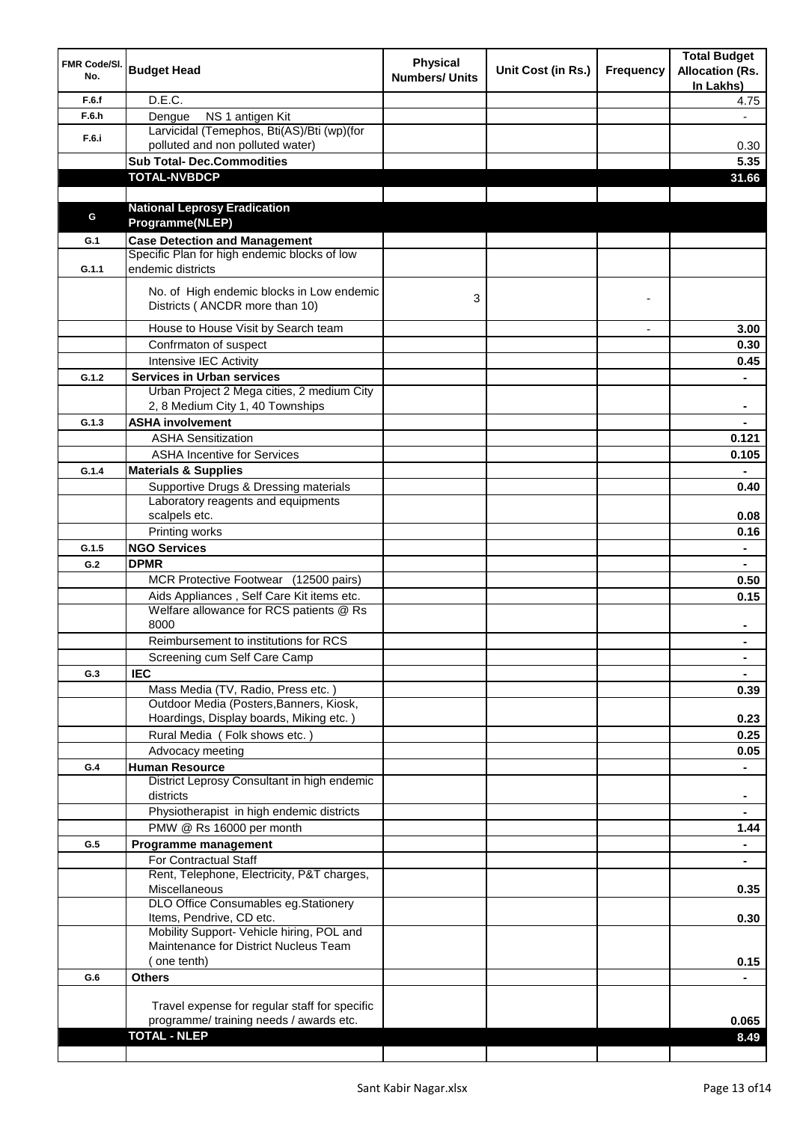| FMR Code/SI.<br>No. | <b>Budget Head</b>                                                          | <b>Physical</b><br><b>Numbers/ Units</b> | Unit Cost (in Rs.) | Frequency                | <b>Total Budget</b><br><b>Allocation (Rs.</b><br>In Lakhs) |
|---------------------|-----------------------------------------------------------------------------|------------------------------------------|--------------------|--------------------------|------------------------------------------------------------|
| F.6.f               | D.E.C.                                                                      |                                          |                    |                          | 4.75                                                       |
| F.6.h               | NS 1 antigen Kit<br>Dengue                                                  |                                          |                    |                          |                                                            |
|                     | Larvicidal (Temephos, Bti(AS)/Bti (wp)(for                                  |                                          |                    |                          |                                                            |
| F.6.i               | polluted and non polluted water)                                            |                                          |                    |                          | 0.30                                                       |
|                     | <b>Sub Total- Dec.Commodities</b>                                           |                                          |                    |                          | 5.35                                                       |
|                     | <b>TOTAL-NVBDCP</b>                                                         |                                          |                    |                          | 31.66                                                      |
|                     |                                                                             |                                          |                    |                          |                                                            |
|                     | <b>National Leprosy Eradication</b>                                         |                                          |                    |                          |                                                            |
| G                   | Programme(NLEP)                                                             |                                          |                    |                          |                                                            |
| G.1                 | <b>Case Detection and Management</b>                                        |                                          |                    |                          |                                                            |
|                     | Specific Plan for high endemic blocks of low                                |                                          |                    |                          |                                                            |
| G.1.1               | endemic districts                                                           |                                          |                    |                          |                                                            |
|                     |                                                                             |                                          |                    |                          |                                                            |
|                     | No. of High endemic blocks in Low endemic<br>Districts (ANCDR more than 10) | 3                                        |                    |                          |                                                            |
|                     | House to House Visit by Search team                                         |                                          |                    | $\overline{\phantom{a}}$ | 3.00                                                       |
|                     | Confrmaton of suspect                                                       |                                          |                    |                          | 0.30                                                       |
|                     | Intensive IEC Activity                                                      |                                          |                    |                          | 0.45                                                       |
| G.1.2               | <b>Services in Urban services</b>                                           |                                          |                    |                          |                                                            |
|                     | Urban Project 2 Mega cities, 2 medium City                                  |                                          |                    |                          |                                                            |
|                     | 2, 8 Medium City 1, 40 Townships                                            |                                          |                    |                          |                                                            |
| G.1.3               | <b>ASHA involvement</b>                                                     |                                          |                    |                          |                                                            |
|                     | <b>ASHA Sensitization</b>                                                   |                                          |                    |                          | 0.121                                                      |
|                     | <b>ASHA Incentive for Services</b>                                          |                                          |                    |                          | 0.105                                                      |
| G.1.4               | <b>Materials &amp; Supplies</b>                                             |                                          |                    |                          |                                                            |
|                     | Supportive Drugs & Dressing materials                                       |                                          |                    |                          | 0.40                                                       |
|                     | Laboratory reagents and equipments                                          |                                          |                    |                          |                                                            |
|                     | scalpels etc.                                                               |                                          |                    |                          | 0.08                                                       |
|                     | Printing works                                                              |                                          |                    |                          | 0.16                                                       |
| G.1.5               | <b>NGO Services</b>                                                         |                                          |                    |                          | $\blacksquare$                                             |
| G.2                 | <b>DPMR</b>                                                                 |                                          |                    |                          | $\blacksquare$                                             |
|                     | MCR Protective Footwear (12500 pairs)                                       |                                          |                    |                          | 0.50                                                       |
|                     | Aids Appliances, Self Care Kit items etc.                                   |                                          |                    |                          | 0.15                                                       |
|                     | Welfare allowance for RCS patients @ Rs                                     |                                          |                    |                          |                                                            |
|                     | 8000                                                                        |                                          |                    |                          |                                                            |
|                     | Reimbursement to institutions for RCS                                       |                                          |                    |                          |                                                            |
|                     | Screening cum Self Care Camp                                                |                                          |                    |                          | $\blacksquare$                                             |
| G.3                 | <b>IEC</b>                                                                  |                                          |                    |                          |                                                            |
|                     | Mass Media (TV, Radio, Press etc.)                                          |                                          |                    |                          | 0.39                                                       |
|                     | Outdoor Media (Posters, Banners, Kiosk,                                     |                                          |                    |                          |                                                            |
|                     | Hoardings, Display boards, Miking etc.)                                     |                                          |                    |                          | 0.23                                                       |
|                     | Rural Media (Folk shows etc.)                                               |                                          |                    |                          | 0.25                                                       |
|                     | Advocacy meeting                                                            |                                          |                    |                          | 0.05                                                       |
| G.4                 | <b>Human Resource</b>                                                       |                                          |                    |                          |                                                            |
|                     | District Leprosy Consultant in high endemic                                 |                                          |                    |                          |                                                            |
|                     | districts                                                                   |                                          |                    |                          | $\blacksquare$                                             |
|                     | Physiotherapist in high endemic districts                                   |                                          |                    |                          | $\blacksquare$                                             |
|                     | PMW @ Rs 16000 per month                                                    |                                          |                    |                          | 1.44                                                       |
| G.5                 | Programme management                                                        |                                          |                    |                          | $\blacksquare$                                             |
|                     | <b>For Contractual Staff</b>                                                |                                          |                    |                          | $\blacksquare$                                             |
|                     | Rent, Telephone, Electricity, P&T charges,                                  |                                          |                    |                          |                                                            |
|                     | Miscellaneous                                                               |                                          |                    |                          | 0.35                                                       |
|                     | DLO Office Consumables eg.Stationery                                        |                                          |                    |                          |                                                            |
|                     | Items, Pendrive, CD etc.                                                    |                                          |                    |                          | 0.30                                                       |
|                     | Mobility Support- Vehicle hiring, POL and                                   |                                          |                    |                          |                                                            |
|                     | Maintenance for District Nucleus Team                                       |                                          |                    |                          |                                                            |
|                     | (one tenth)                                                                 |                                          |                    |                          | 0.15                                                       |
| G.6                 | <b>Others</b>                                                               |                                          |                    |                          |                                                            |
|                     |                                                                             |                                          |                    |                          |                                                            |
|                     | Travel expense for regular staff for specific                               |                                          |                    |                          |                                                            |
|                     | programme/ training needs / awards etc.                                     |                                          |                    |                          | 0.065                                                      |
|                     | <b>TOTAL - NLEP</b>                                                         |                                          |                    |                          | 8.49                                                       |
|                     |                                                                             |                                          |                    |                          |                                                            |